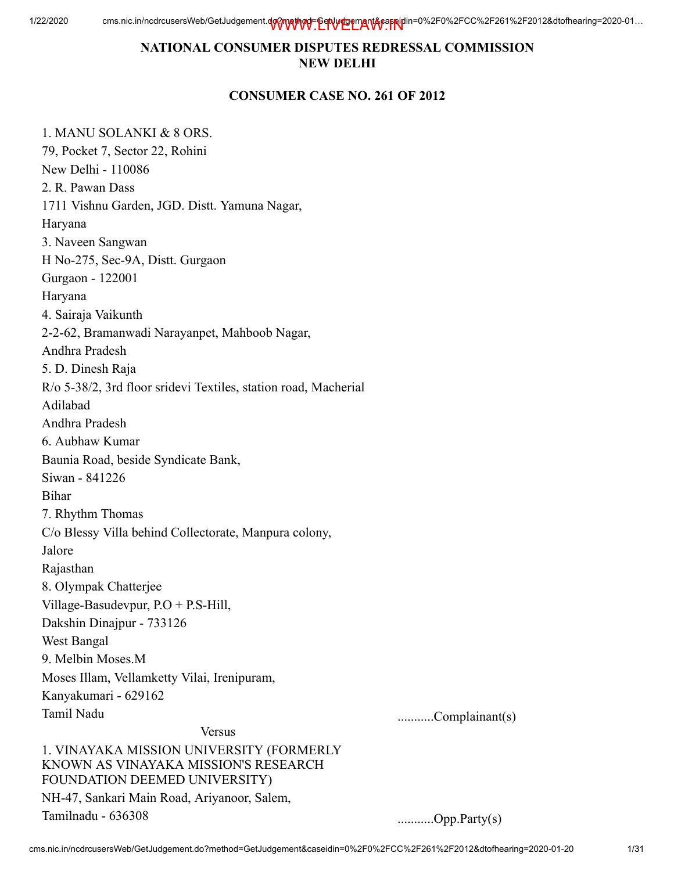## NATIONAL CONSUMER DISPUTES REDRESSAL COMMISSION NEW DELHI

#### CONSUMER CASE NO. 261 OF 2012

1. MANU SOLANKI & 8 ORS. 79, Pocket 7, Sector 22, Rohini New Delhi - 110086 2. R. Pawan Dass 1711 Vishnu Garden, JGD. Distt. Yamuna Nagar, Haryana 3. Naveen Sangwan H No-275, Sec-9A, Distt. Gurgaon Gurgaon - 122001 Haryana 4. Sairaja Vaikunth 2-2-62, Bramanwadi Narayanpet, Mahboob Nagar, Andhra Pradesh 5. D. Dinesh Raja R/o 5-38/2, 3rd floor sridevi Textiles, station road, Macherial Adilabad Andhra Pradesh 6. Aubhaw Kumar Baunia Road, beside Syndicate Bank, Siwan - 841226 Bihar 7. Rhythm Thomas C/o Blessy Villa behind Collectorate, Manpura colony, Jalore Rajasthan 8. Olympak Chatterjee Village-Basudevpur, P.O + P.S-Hill, Dakshin Dinajpur - 733126 West Bangal 9. Melbin Moses.M Moses Illam, Vellamketty Vilai, Irenipuram, Kanyakumari - 629162 Tamil Nadu ...........Complainant(s) Versus 1. VINAYAKA MISSION UNIVERSITY (FORMERLY KNOWN AS VINAYAKA MISSION'S RESEARCH FOUNDATION DEEMED UNIVERSITY) NH-47, Sankari Main Road, Ariyanoor, Salem, Tamilnadu - 636308 ...........Opp.Party(s)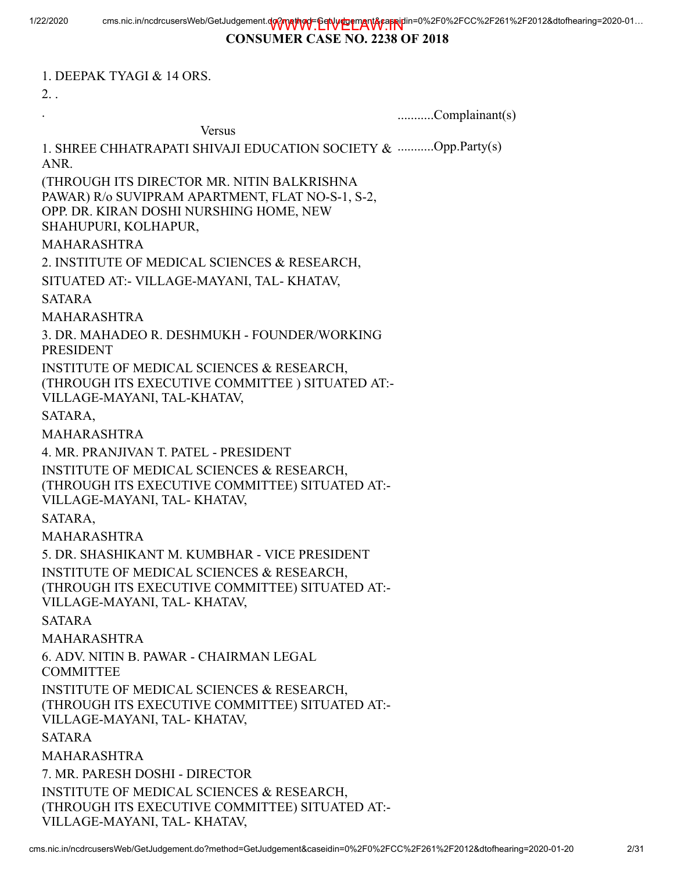#### CONSUMER CASE NO. 2238 OF 2018

1. DEEPAK TYAGI & 14 ORS.

2. .

. ...........Complainant(s)

Versus

1. SHREE CHHATRAPATI SHIVAJI EDUCATION SOCIETY & ...........Opp.Party(s) ANR.

(THROUGH ITS DIRECTOR MR. NITIN BALKRISHNA PAWAR) R/o SUVIPRAM APARTMENT, FLAT NO-S-1, S-2, OPP. DR. KIRAN DOSHI NURSHING HOME, NEW SHAHUPURI, KOLHAPUR,

#### MAHARASHTRA

2. INSTITUTE OF MEDICAL SCIENCES & RESEARCH,

SITUATED AT:- VILLAGE-MAYANI, TAL- KHATAV,

SATARA

MAHARASHTRA

3. DR. MAHADEO R. DESHMUKH - FOUNDER/WORKING PRESIDENT

INSTITUTE OF MEDICAL SCIENCES & RESEARCH,

(THROUGH ITS EXECUTIVE COMMITTEE ) SITUATED AT:-

VILLAGE-MAYANI, TAL-KHATAV,

SATARA,

MAHARASHTRA

4. MR. PRANJIVAN T. PATEL - PRESIDENT

INSTITUTE OF MEDICAL SCIENCES & RESEARCH,

(THROUGH ITS EXECUTIVE COMMITTEE) SITUATED AT:-

VILLAGE-MAYANI, TAL- KHATAV,

SATARA,

MAHARASHTRA

5. DR. SHASHIKANT M. KUMBHAR - VICE PRESIDENT INSTITUTE OF MEDICAL SCIENCES & RESEARCH, (THROUGH ITS EXECUTIVE COMMITTEE) SITUATED AT:- VILLAGE-MAYANI, TAL- KHATAV,

SATARA

MAHARASHTRA

6. ADV. NITIN B. PAWAR - CHAIRMAN LEGAL

COMMITTEE

INSTITUTE OF MEDICAL SCIENCES & RESEARCH, (THROUGH ITS EXECUTIVE COMMITTEE) SITUATED AT:-

VILLAGE-MAYANI, TAL- KHATAV,

SATARA

MAHARASHTRA

7. MR. PARESH DOSHI - DIRECTOR INSTITUTE OF MEDICAL SCIENCES & RESEARCH, (THROUGH ITS EXECUTIVE COMMITTEE) SITUATED AT:- VILLAGE-MAYANI, TAL- KHATAV,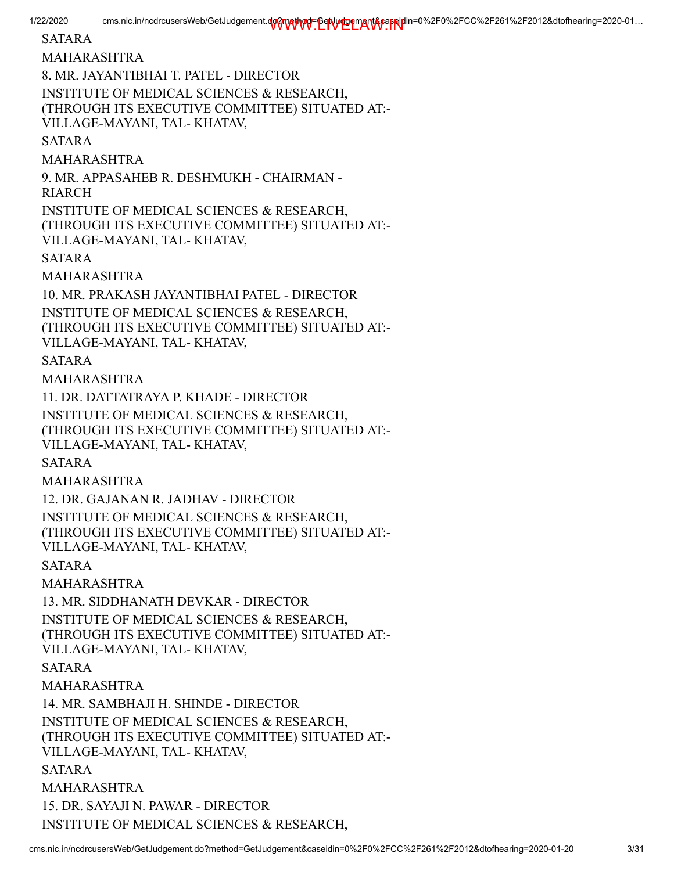SATARA MAHARASHTRA 8. MR. JAYANTIBHAI T. PATEL - DIRECTOR INSTITUTE OF MEDICAL SCIENCES & RESEARCH, (THROUGH ITS EXECUTIVE COMMITTEE) SITUATED AT:- VILLAGE-MAYANI, TAL- KHATAV, SATARA MAHARASHTRA 9. MR. APPASAHEB R. DESHMUKH - CHAIRMAN - RIARCH INSTITUTE OF MEDICAL SCIENCES & RESEARCH, (THROUGH ITS EXECUTIVE COMMITTEE) SITUATED AT:- VILLAGE-MAYANI, TAL- KHATAV, SATARA MAHARASHTRA 10. MR. PRAKASH JAYANTIBHAI PATEL - DIRECTOR INSTITUTE OF MEDICAL SCIENCES & RESEARCH, (THROUGH ITS EXECUTIVE COMMITTEE) SITUATED AT:- VILLAGE-MAYANI, TAL- KHATAV, SATARA MAHARASHTRA 11. DR. DATTATRAYA P. KHADE - DIRECTOR INSTITUTE OF MEDICAL SCIENCES & RESEARCH, (THROUGH ITS EXECUTIVE COMMITTEE) SITUATED AT:- VILLAGE-MAYANI, TAL- KHATAV, SATARA MAHARASHTRA 12. DR. GAJANAN R. JADHAV - DIRECTOR INSTITUTE OF MEDICAL SCIENCES & RESEARCH, (THROUGH ITS EXECUTIVE COMMITTEE) SITUATED AT:- VILLAGE-MAYANI, TAL- KHATAV, SATARA MAHARASHTRA 13. MR. SIDDHANATH DEVKAR - DIRECTOR INSTITUTE OF MEDICAL SCIENCES & RESEARCH, (THROUGH ITS EXECUTIVE COMMITTEE) SITUATED AT:- VILLAGE-MAYANI, TAL- KHATAV, SATARA MAHARASHTRA 14. MR. SAMBHAJI H. SHINDE - DIRECTOR INSTITUTE OF MEDICAL SCIENCES & RESEARCH, (THROUGH ITS EXECUTIVE COMMITTEE) SITUATED AT:- VILLAGE-MAYANI, TAL- KHATAV, SATARA MAHARASHTRA 15. DR. SAYAJI N. PAWAR - DIRECTOR INSTITUTE OF MEDICAL SCIENCES & RESEARCH,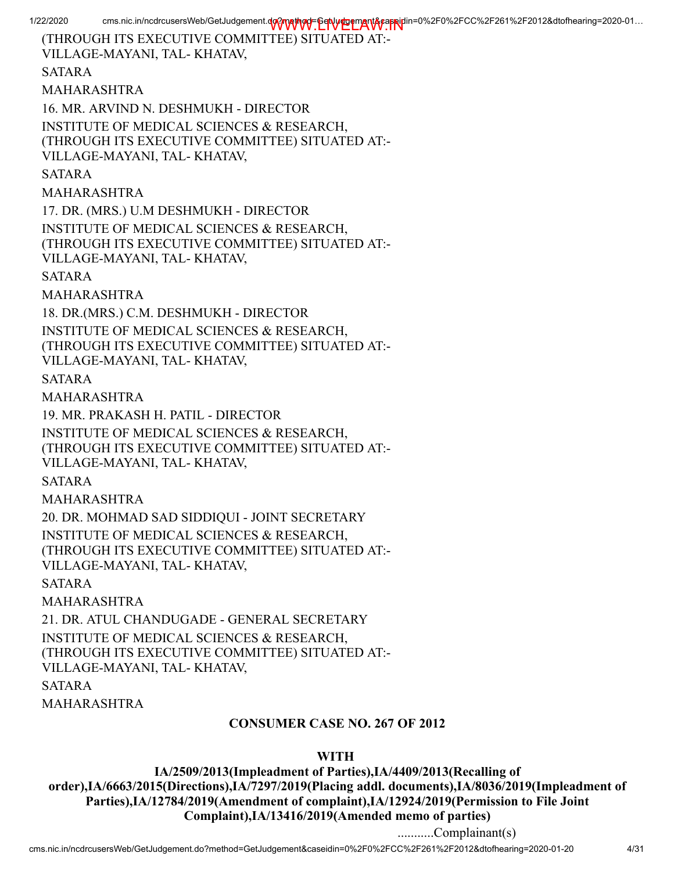1/22/2020 cms.nic.in/ncdrcusersWeb/GetJudgement.do?method=GetVurDemant&capeiplin=0%2F0%2FCC%2F261%2F2012&dtofhearing=2020-01... (THROUGH ITS EXECUTIVE COMMITTEE) SITUATED AT:- VILLAGE-MAYANI, TAL- KHATAV, SATARA MAHARASHTRA 16. MR. ARVIND N. DESHMUKH - DIRECTOR INSTITUTE OF MEDICAL SCIENCES & RESEARCH, (THROUGH ITS EXECUTIVE COMMITTEE) SITUATED AT:- VILLAGE-MAYANI, TAL- KHATAV, SATARA MAHARASHTRA 17. DR. (MRS.) U.M DESHMUKH - DIRECTOR INSTITUTE OF MEDICAL SCIENCES & RESEARCH, (THROUGH ITS EXECUTIVE COMMITTEE) SITUATED AT:- VILLAGE-MAYANI, TAL- KHATAV, SATARA MAHARASHTRA 18. DR.(MRS.) C.M. DESHMUKH - DIRECTOR INSTITUTE OF MEDICAL SCIENCES & RESEARCH, (THROUGH ITS EXECUTIVE COMMITTEE) SITUATED AT:- VILLAGE-MAYANI, TAL- KHATAV, SATARA MAHARASHTRA 19. MR. PRAKASH H. PATIL - DIRECTOR INSTITUTE OF MEDICAL SCIENCES & RESEARCH, (THROUGH ITS EXECUTIVE COMMITTEE) SITUATED AT:- VILLAGE-MAYANI, TAL- KHATAV, SATARA MAHARASHTRA 20. DR. MOHMAD SAD SIDDIQUI - JOINT SECRETARY INSTITUTE OF MEDICAL SCIENCES & RESEARCH, (THROUGH ITS EXECUTIVE COMMITTEE) SITUATED AT:- VILLAGE-MAYANI, TAL- KHATAV, SATARA MAHARASHTRA 21. DR. ATUL CHANDUGADE - GENERAL SECRETARY INSTITUTE OF MEDICAL SCIENCES & RESEARCH, (THROUGH ITS EXECUTIVE COMMITTEE) SITUATED AT:- VILLAGE-MAYANI, TAL- KHATAV, SATARA MAHARASHTRA CONSUMER CASE NO. 267 OF 2012

#### WITH

IA/2509/2013(Impleadment of Parties),IA/4409/2013(Recalling of order),IA/6663/2015(Directions),IA/7297/2019(Placing addl. documents),IA/8036/2019(Impleadment of Parties),IA/12784/2019(Amendment of complaint),IA/12924/2019(Permission to File Joint Complaint),IA/13416/2019(Amended memo of parties)

...........Complainant(s)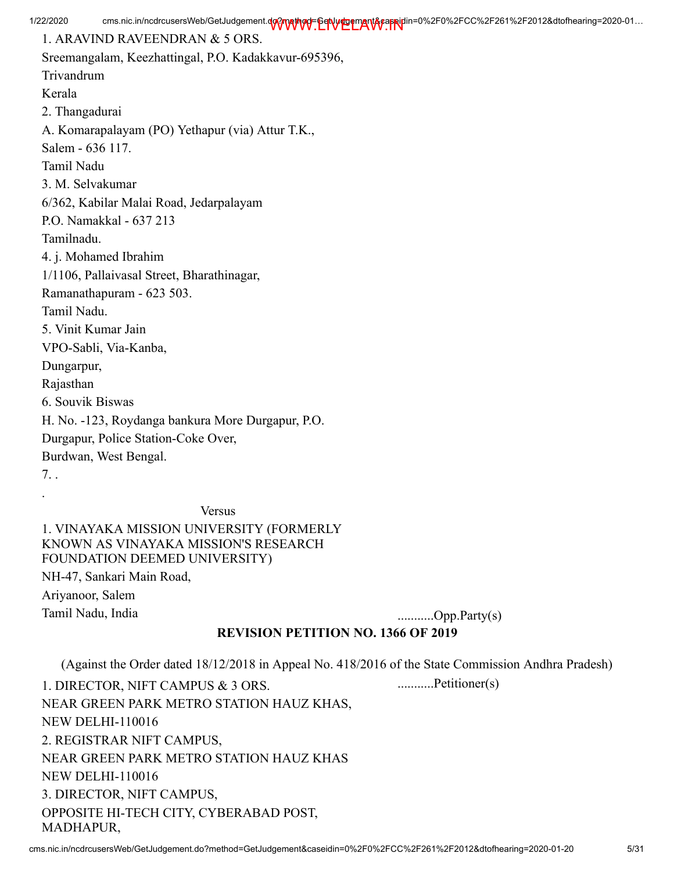1. ARAVIND RAVEENDRAN & 5 ORS.

Sreemangalam, Keezhattingal, P.O. Kadakkavur-695396, Trivandrum Kerala 2. Thangadurai A. Komarapalayam (PO) Yethapur (via) Attur T.K., Salem - 636 117. Tamil Nadu 3. M. Selvakumar 6/362, Kabilar Malai Road, Jedarpalayam P.O. Namakkal - 637 213 Tamilnadu. 4. j. Mohamed Ibrahim 1/1106, Pallaivasal Street, Bharathinagar, Ramanathapuram - 623 503. Tamil Nadu. 5. Vinit Kumar Jain VPO-Sabli, Via-Kanba, Dungarpur, Rajasthan 6. Souvik Biswas H. No. -123, Roydanga bankura More Durgapur, P.O. Durgapur, Police Station-Coke Over, Burdwan, West Bengal. 7. . .

Versus

1. VINAYAKA MISSION UNIVERSITY (FORMERLY KNOWN AS VINAYAKA MISSION'S RESEARCH FOUNDATION DEEMED UNIVERSITY) NH-47, Sankari Main Road, Ariyanoor, Salem Tamil Nadu, India ...........Opp.Party(s)

## REVISION PETITION NO. 1366 OF 2019

(Against the Order dated 18/12/2018 in Appeal No. 418/2016 of the State Commission Andhra Pradesh)

1. DIRECTOR, NIFT CAMPUS & 3 ORS. NEAR GREEN PARK METRO STATION HAUZ KHAS, NEW DELHI-110016 2. REGISTRAR NIFT CAMPUS, NEAR GREEN PARK METRO STATION HAUZ KHAS NEW DELHI-110016 3. DIRECTOR, NIFT CAMPUS, OPPOSITE HI-TECH CITY, CYBERABAD POST, MADHAPUR, ...........Petitioner(s)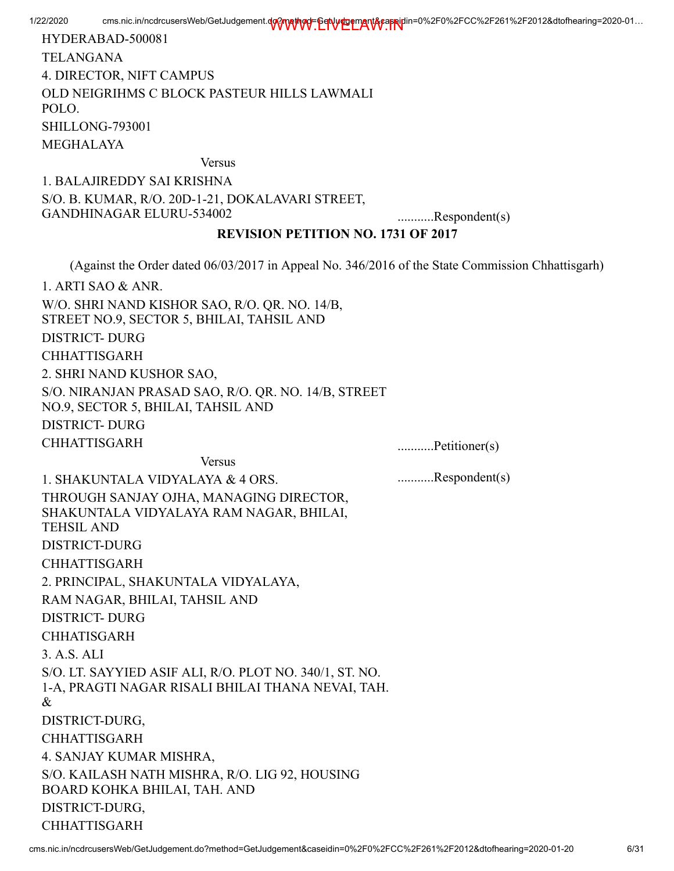1/22/2020 cms.nic.in/ncdrcusersWeb/GetJudgement.do?method=GetVurDemant&capeiplin=0%2F0%2FCC%2F261%2F2012&dtofhearing=2020-01... HYDERABAD-500081 TELANGANA 4. DIRECTOR, NIFT CAMPUS OLD NEIGRIHMS C BLOCK PASTEUR HILLS LAWMALI POLO. SHILLONG-793001 MEGHALAYA Versus 1. BALAJIREDDY SAI KRISHNA S/O. B. KUMAR, R/O. 20D-1-21, DOKALAVARI STREET, GANDHINAGAR ELURU-534002 ............Respondent(s) REVISION PETITION NO. 1731 OF 2017 (Against the Order dated 06/03/2017 in Appeal No. 346/2016 of the State Commission Chhattisgarh) 1. ARTI SAO & ANR. W/O. SHRI NAND KISHOR SAO, R/O. QR. NO. 14/B, STREET NO.9, SECTOR 5, BHILAI, TAHSIL AND DISTRICT- DURG CHHATTISGARH 2. SHRI NAND KUSHOR SAO, S/O. NIRANJAN PRASAD SAO, R/O. QR. NO. 14/B, STREET NO.9, SECTOR 5, BHILAI, TAHSIL AND DISTRICT- DURG CHHATTISGARH ............Petitioner(s) Versus 1. SHAKUNTALA VIDYALAYA & 4 ORS. THROUGH SANJAY OJHA, MANAGING DIRECTOR, SHAKUNTALA VIDYALAYA RAM NAGAR, BHILAI, TEHSIL AND ...........Respondent(s)

DISTRICT-DURG CHHATTISGARH

DISTRICT- DURG CHHATISGARH

DISTRICT-DURG, CHHATTISGARH

DISTRICT-DURG, CHHATTISGARH

4. SANJAY KUMAR MISHRA,

BOARD KOHKA BHILAI, TAH. AND

3. A.S. ALI

&

2. PRINCIPAL, SHAKUNTALA VIDYALAYA,

S/O. LT. SAYYIED ASIF ALI, R/O. PLOT NO. 340/1, ST. NO. 1-A, PRAGTI NAGAR RISALI BHILAI THANA NEVAI, TAH.

S/O. KAILASH NATH MISHRA, R/O. LIG 92, HOUSING

RAM NAGAR, BHILAI, TAHSIL AND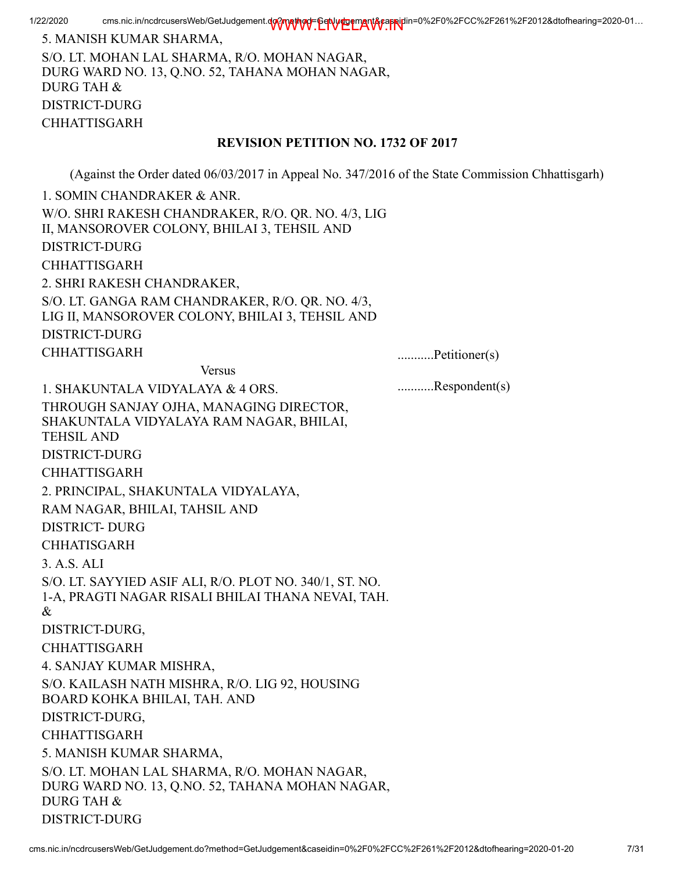5. MANISH KUMAR SHARMA, S/O. LT. MOHAN LAL SHARMA, R/O. MOHAN NAGAR, DURG WARD NO. 13, Q.NO. 52, TAHANA MOHAN NAGAR, DURG TAH & DISTRICT-DURG CHHATTISGARH

#### REVISION PETITION NO. 1732 OF 2017

(Against the Order dated 06/03/2017 in Appeal No. 347/2016 of the State Commission Chhattisgarh)

1. SOMIN CHANDRAKER & ANR. W/O. SHRI RAKESH CHANDRAKER, R/O. QR. NO. 4/3, LIG II, MANSOROVER COLONY, BHILAI 3, TEHSIL AND DISTRICT-DURG CHHATTISGARH 2. SHRI RAKESH CHANDRAKER, S/O. LT. GANGA RAM CHANDRAKER, R/O. QR. NO. 4/3, LIG II, MANSOROVER COLONY, BHILAI 3, TEHSIL AND DISTRICT-DURG CHHATTISGARH ............Petitioner(s) Versus 1. SHAKUNTALA VIDYALAYA & 4 ORS. THROUGH SANJAY OJHA, MANAGING DIRECTOR, SHAKUNTALA VIDYALAYA RAM NAGAR, BHILAI, TEHSIL AND DISTRICT-DURG CHHATTISGARH 2. PRINCIPAL, SHAKUNTALA VIDYALAYA, RAM NAGAR, BHILAI, TAHSIL AND DISTRICT- DURG CHHATISGARH 3. A.S. ALI S/O. LT. SAYYIED ASIF ALI, R/O. PLOT NO. 340/1, ST. NO. 1-A, PRAGTI NAGAR RISALI BHILAI THANA NEVAI, TAH. & DISTRICT-DURG, CHHATTISGARH 4. SANJAY KUMAR MISHRA, S/O. KAILASH NATH MISHRA, R/O. LIG 92, HOUSING BOARD KOHKA BHILAI, TAH. AND DISTRICT-DURG, CHHATTISGARH 5. MANISH KUMAR SHARMA, S/O. LT. MOHAN LAL SHARMA, R/O. MOHAN NAGAR, DURG WARD NO. 13, Q.NO. 52, TAHANA MOHAN NAGAR, DURG TAH & DISTRICT-DURG ...........Respondent(s)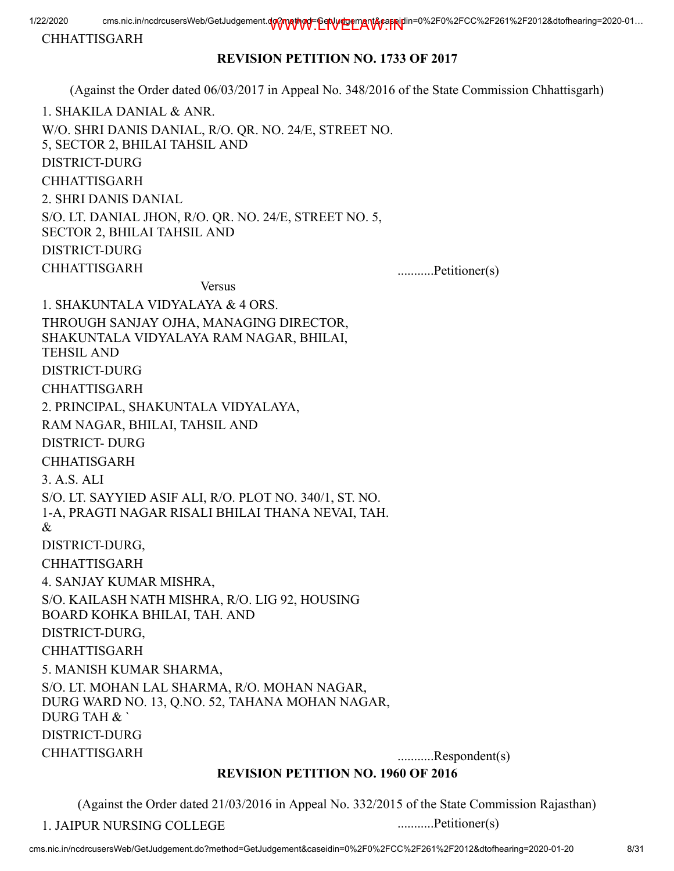CHHATTISGARH

### REVISION PETITION NO. 1733 OF 2017

(Against the Order dated 06/03/2017 in Appeal No. 348/2016 of the State Commission Chhattisgarh)

1. SHAKILA DANIAL & ANR. W/O. SHRI DANIS DANIAL, R/O. QR. NO. 24/E, STREET NO. 5, SECTOR 2, BHILAI TAHSIL AND DISTRICT-DURG CHHATTISGARH 2. SHRI DANIS DANIAL S/O. LT. DANIAL JHON, R/O. QR. NO. 24/E, STREET NO. 5, SECTOR 2, BHILAI TAHSIL AND DISTRICT-DURG CHHATTISGARH ............Petitioner(s)

Versus

| 1. SHAKUNTALA VIDYALAYA & 4 ORS.                        |               |
|---------------------------------------------------------|---------------|
| THROUGH SANJAY OJHA, MANAGING DIRECTOR,                 |               |
| SHAKUNTALA VIDYALAYA RAM NAGAR, BHILAI,                 |               |
| <b>TEHSIL AND</b>                                       |               |
| <b>DISTRICT-DURG</b>                                    |               |
| <b>CHHATTISGARH</b>                                     |               |
| 2. PRINCIPAL, SHAKUNTALA VIDYALAYA,                     |               |
| RAM NAGAR, BHILAI, TAHSIL AND                           |               |
| <b>DISTRICT-DURG</b>                                    |               |
| <b>CHHATISGARH</b>                                      |               |
| 3. A.S. ALI                                             |               |
| S/O. LT. SAYYIED ASIF ALI, R/O. PLOT NO. 340/1, ST. NO. |               |
| 1-A, PRAGTI NAGAR RISALI BHILAI THANA NEVAI, TAH.       |               |
| $\&$                                                    |               |
| DISTRICT-DURG,                                          |               |
| <b>CHHATTISGARH</b>                                     |               |
| 4. SANJAY KUMAR MISHRA,                                 |               |
| S/O. KAILASH NATH MISHRA, R/O. LIG 92, HOUSING          |               |
| BOARD KOHKA BHILAI, TAH. AND                            |               |
| DISTRICT-DURG,                                          |               |
| <b>CHHATTISGARH</b>                                     |               |
| 5. MANISH KUMAR SHARMA,                                 |               |
| S/O. LT. MOHAN LAL SHARMA, R/O. MOHAN NAGAR,            |               |
| DURG WARD NO. 13, Q.NO. 52, TAHANA MOHAN NAGAR,         |               |
| DURG TAH &                                              |               |
| <b>DISTRICT-DURG</b>                                    |               |
| <b>CHHATTISGARH</b>                                     | Respondent(s) |

## REVISION PETITION NO. 1960 OF 2016

(Against the Order dated 21/03/2016 in Appeal No. 332/2015 of the State Commission Rajasthan)

1. JAIPUR NURSING COLLEGE ............Petitioner(s)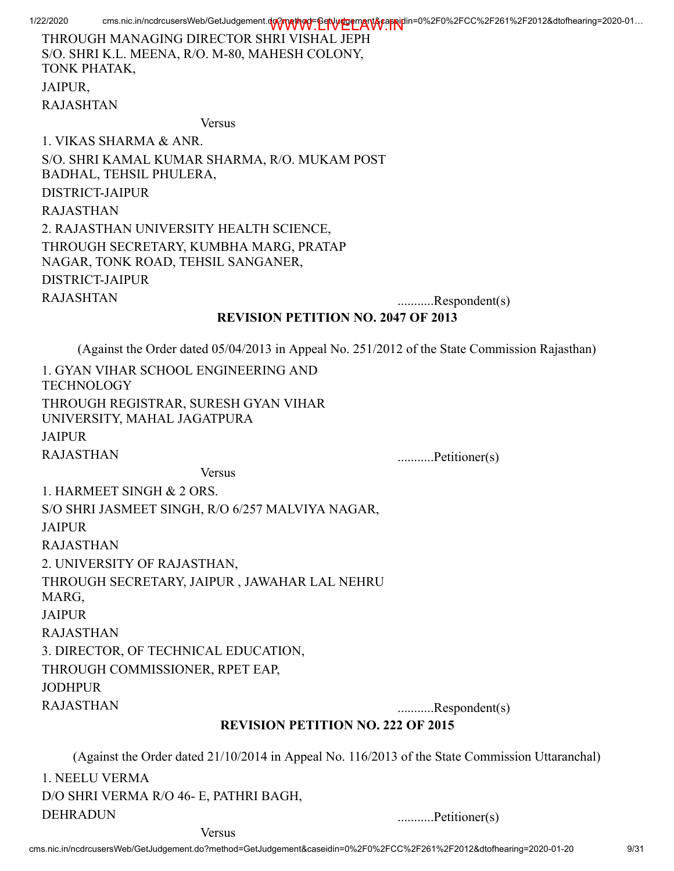THROUGH MANAGING DIRECTOR SHRI VISHAL JEPH S/O. SHRI K.L. MEENA, R/O. M-80, MAHESH COLONY, TONK PHATAK, JAIPUR, RAJASHTAN

Versus

1. VIKAS SHARMA & ANR. S/O. SHRI KAMAL KUMAR SHARMA, R/O. MUKAM POST BADHAL, TEHSIL PHULERA, DISTRICT-JAIPUR RAJASTHAN 2. RAJASTHAN UNIVERSITY HEALTH SCIENCE, THROUGH SECRETARY, KUMBHA MARG, PRATAP NAGAR, TONK ROAD, TEHSIL SANGANER, DISTRICT-JAIPUR RAJASHTAN ...........Respondent(s)

#### REVISION PETITION NO. 2047 OF 2013

(Against the Order dated 05/04/2013 in Appeal No. 251/2012 of the State Commission Rajasthan)

| 1. GYAN VIHAR SCHOOL ENGINEERING AND<br><b>TECHNOLOGY</b>                                       |                  |
|-------------------------------------------------------------------------------------------------|------------------|
| THROUGH REGISTRAR, SURESH GYAN VIHAR<br>UNIVERSITY, MAHAL JAGATPURA                             |                  |
| <b>JAIPUR</b>                                                                                   |                  |
| <b>RAJASTHAN</b>                                                                                | Petitioner(s)    |
| <b>Versus</b>                                                                                   |                  |
| 1. HARMEET SINGH & 2 ORS.                                                                       |                  |
| S/O SHRI JASMEET SINGH, R/O 6/257 MALVIYA NAGAR,                                                |                  |
| <b>JAIPUR</b>                                                                                   |                  |
| <b>RAJASTHAN</b>                                                                                |                  |
| 2. UNIVERSITY OF RAJASTHAN,                                                                     |                  |
| THROUGH SECRETARY, JAIPUR, JAWAHAR LAL NEHRU<br>MARG,                                           |                  |
| <b>JAIPUR</b>                                                                                   |                  |
| <b>RAJASTHAN</b>                                                                                |                  |
| 3. DIRECTOR, OF TECHNICAL EDUCATION,                                                            |                  |
| THROUGH COMMISSIONER, RPET EAP,                                                                 |                  |
| <b>JODHPUR</b>                                                                                  |                  |
| <b>RAJASTHAN</b>                                                                                | $$ Respondent(s) |
| <b>REVISION PETITION NO. 222 OF 2015</b>                                                        |                  |
| (Against the Order dated 21/10/2014 in Appeal No. 116/2013 of the State Commission Uttaranchal) |                  |
| 1. NEELU VERMA                                                                                  |                  |
| D/O SHRI VERMA R/O 46- E, PATHRI BAGH,                                                          |                  |

DEHRADUN ...........Petitioner(s) Versus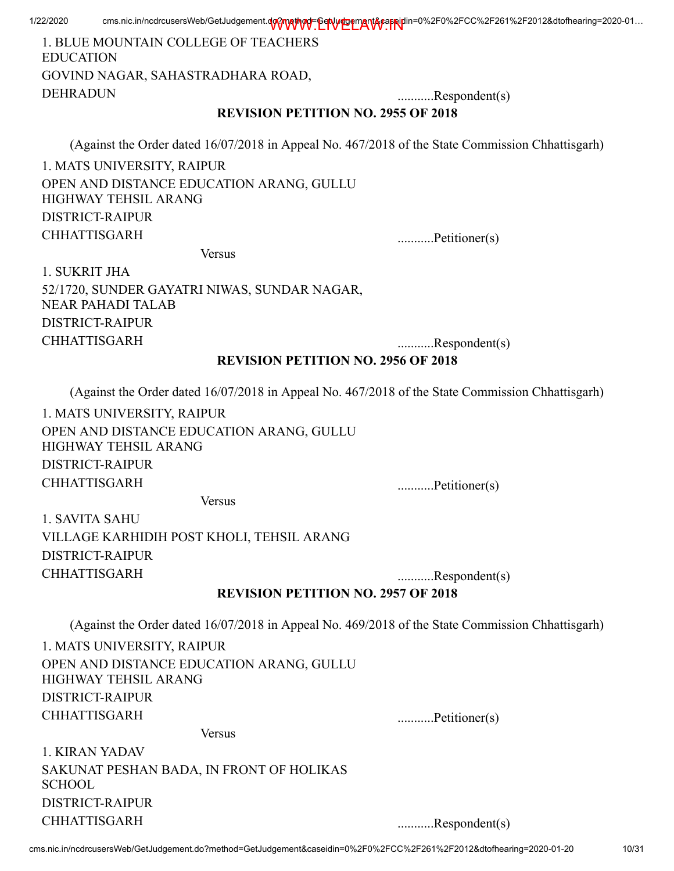| 1. BLUE MOUNTAIN COLLEGE OF TEACHERS<br><b>EDUCATION</b>                                         |                  |
|--------------------------------------------------------------------------------------------------|------------------|
| GOVIND NAGAR, SAHASTRADHARA ROAD,                                                                |                  |
| <b>DEHRADUN</b>                                                                                  | $$ Respondent(s) |
| <b>REVISION PETITION NO. 2955 OF 2018</b>                                                        |                  |
| (Against the Order dated 16/07/2018 in Appeal No. 467/2018 of the State Commission Chhattisgarh) |                  |
| 1. MATS UNIVERSITY, RAIPUR                                                                       |                  |
| OPEN AND DISTANCE EDUCATION ARANG, GULLU<br>HIGHWAY TEHSIL ARANG                                 |                  |
| <b>DISTRICT-RAIPUR</b>                                                                           |                  |
| <b>CHHATTISGARH</b>                                                                              | Petitioner(s)    |
| <b>Versus</b>                                                                                    |                  |
| 1. SUKRIT JHA                                                                                    |                  |
| 52/1720, SUNDER GAYATRI NIWAS, SUNDAR NAGAR,<br><b>NEAR PAHADI TALAB</b>                         |                  |
| <b>DISTRICT-RAIPUR</b>                                                                           |                  |
| <b>CHHATTISGARH</b>                                                                              | $$ Respondent(s) |
| <b>REVISION PETITION NO. 2956 OF 2018</b>                                                        |                  |
| (Against the Order dated 16/07/2018 in Appeal No. 467/2018 of the State Commission Chhattisgarh) |                  |
| 1. MATS UNIVERSITY, RAIPUR                                                                       |                  |
| OPEN AND DISTANCE EDUCATION ARANG, GULLU<br>HIGHWAY TEHSIL ARANG                                 |                  |
| <b>DISTRICT-RAIPUR</b>                                                                           |                  |
| <b>CHHATTISGARH</b>                                                                              | Petitioner(s)    |
| <b>Versus</b>                                                                                    |                  |
| 1. SAVITA SAHU                                                                                   |                  |
| VILLAGE KARHIDIH POST KHOLI, TEHSIL ARANG                                                        |                  |
| <b>DISTRICT-RAIPUR</b>                                                                           |                  |
| <b>CHHATTISGARH</b>                                                                              | Respondent(s)    |
| <b>REVISION PETITION NO. 2957 OF 2018</b>                                                        |                  |
| (Against the Order dated 16/07/2018 in Appeal No. 469/2018 of the State Commission Chhattisgarh) |                  |
| 1. MATS UNIVERSITY, RAIPUR                                                                       |                  |
| OPEN AND DISTANCE EDUCATION ARANG, GULLU<br>HIGHWAY TEHSIL ARANG                                 |                  |
| <b>DISTRICT-RAIPUR</b>                                                                           |                  |
| <b>CHHATTISGARH</b>                                                                              | Petitioner(s)    |
| <b>Versus</b>                                                                                    |                  |
| 1. KIRAN YADAV                                                                                   |                  |
| SAKUNAT PESHAN BADA, IN FRONT OF HOLIKAS<br><b>SCHOOL</b>                                        |                  |
| <b>DISTRICT-RAIPUR</b>                                                                           |                  |
| <b>CHHATTISGARH</b>                                                                              | Respondent(s)    |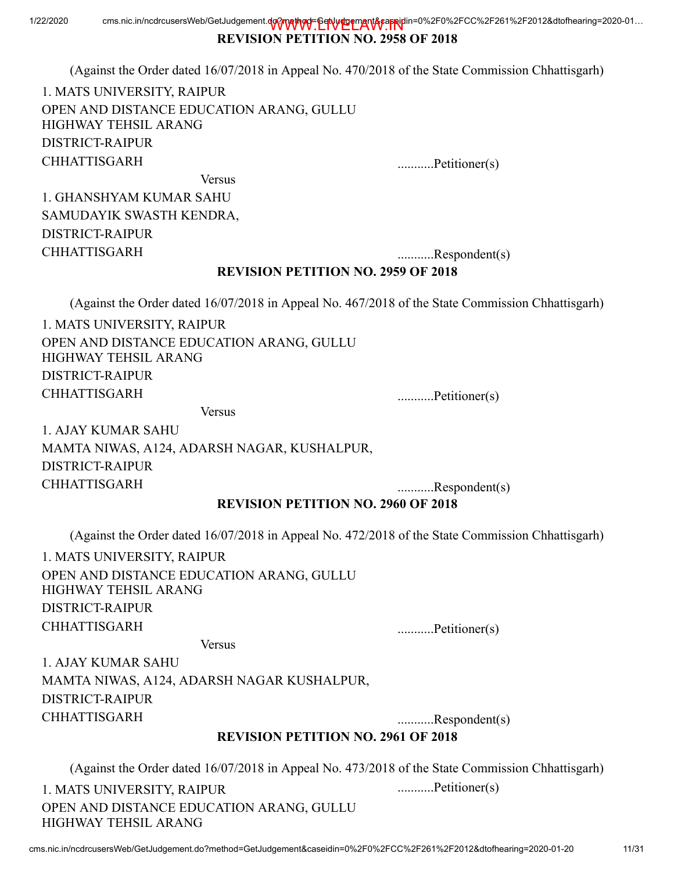# REVISION PETITION NO. 2958 OF 2018

(Against the Order dated 16/07/2018 in Appeal No. 470/2018 of the State Commission Chhattisgarh)

1. MATS UNIVERSITY, RAIPUR OPEN AND DISTANCE EDUCATION ARANG, GULLU HIGHWAY TEHSIL ARANG DISTRICT-RAIPUR CHHATTISGARH ...........Petitioner(s)

Versus 1. GHANSHYAM KUMAR SAHU SAMUDAYIK SWASTH KENDRA, DISTRICT-RAIPUR CHHATTISGARH ...........Respondent(s)

## REVISION PETITION NO. 2959 OF 2018

(Against the Order dated 16/07/2018 in Appeal No. 467/2018 of the State Commission Chhattisgarh)

1. MATS UNIVERSITY, RAIPUR OPEN AND DISTANCE EDUCATION ARANG, GULLU HIGHWAY TEHSIL ARANG DISTRICT-RAIPUR CHHATTISGARH ...........Petitioner(s)

Versus

1. AJAY KUMAR SAHU MAMTA NIWAS, A124, ADARSH NAGAR, KUSHALPUR, DISTRICT-RAIPUR CHHATTISGARH ...........Respondent(s)

REVISION PETITION NO. 2960 OF 2018

(Against the Order dated 16/07/2018 in Appeal No. 472/2018 of the State Commission Chhattisgarh)

1. MATS UNIVERSITY, RAIPUR OPEN AND DISTANCE EDUCATION ARANG, GULLU HIGHWAY TEHSIL ARANG DISTRICT-RAIPUR CHHATTISGARH ............Petitioner(s)

Versus 1. AJAY KUMAR SAHU MAMTA NIWAS, A124, ADARSH NAGAR KUSHALPUR,

DISTRICT-RAIPUR CHHATTISGARH ...........Respondent(s)

## REVISION PETITION NO. 2961 OF 2018

(Against the Order dated 16/07/2018 in Appeal No. 473/2018 of the State Commission Chhattisgarh)

1. MATS UNIVERSITY, RAIPUR OPEN AND DISTANCE EDUCATION ARANG, GULLU HIGHWAY TEHSIL ARANG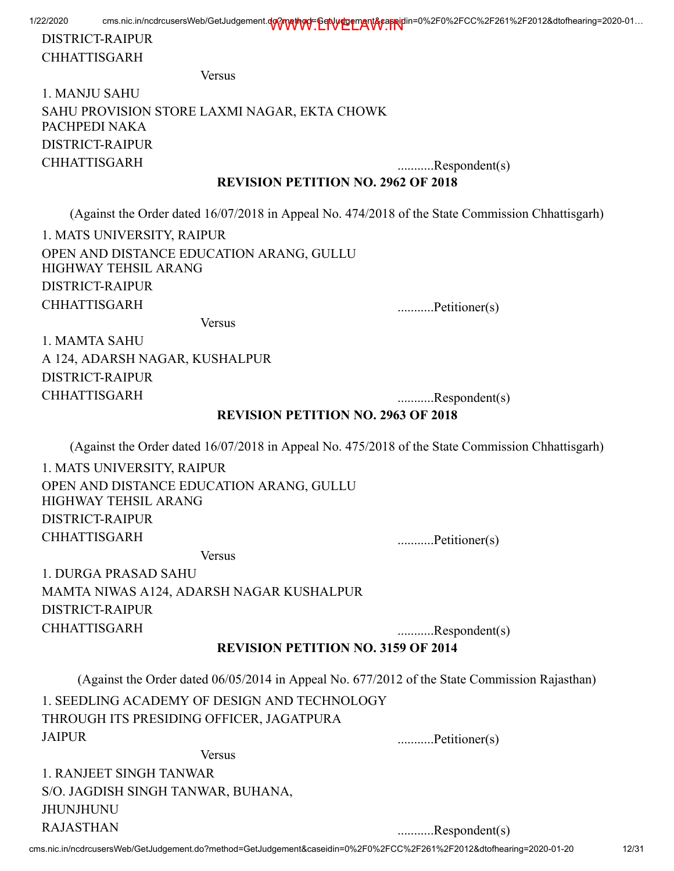# DISTRICT-RAIPUR CHHATTISGARH

Versus

# 1. MANJU SAHU SAHU PROVISION STORE LAXMI NAGAR, EKTA CHOWK PACHPEDI NAKA DISTRICT-RAIPUR CHHATTISGARH ...........Respondent(s)

#### REVISION PETITION NO. 2962 OF 2018

(Against the Order dated 16/07/2018 in Appeal No. 474/2018 of the State Commission Chhattisgarh)

1. MATS UNIVERSITY, RAIPUR OPEN AND DISTANCE EDUCATION ARANG, GULLU HIGHWAY TEHSIL ARANG DISTRICT-RAIPUR CHHATTISGARH ............Petitioner(s)

Versus

1. MAMTA SAHU A 124, ADARSH NAGAR, KUSHALPUR DISTRICT-RAIPUR CHHATTISGARH ...........Respondent(s)

### REVISION PETITION NO. 2963 OF 2018

(Against the Order dated 16/07/2018 in Appeal No. 475/2018 of the State Commission Chhattisgarh)

1. MATS UNIVERSITY, RAIPUR OPEN AND DISTANCE EDUCATION ARANG, GULLU HIGHWAY TEHSIL ARANG DISTRICT-RAIPUR CHHATTISGARH ............Petitioner(s)

Versus

1. DURGA PRASAD SAHU MAMTA NIWAS A124, ADARSH NAGAR KUSHALPUR DISTRICT-RAIPUR CHHATTISGARH ...........Respondent(s)

## REVISION PETITION NO. 3159 OF 2014

(Against the Order dated 06/05/2014 in Appeal No. 677/2012 of the State Commission Rajasthan)

1. SEEDLING ACADEMY OF DESIGN AND TECHNOLOGY THROUGH ITS PRESIDING OFFICER, JAGATPURA JAIPUR ............Petitioner(s)

Versus

1. RANJEET SINGH TANWAR S/O. JAGDISH SINGH TANWAR, BUHANA, JHUNJHUNU RAJASTHAN ...........Respondent(s)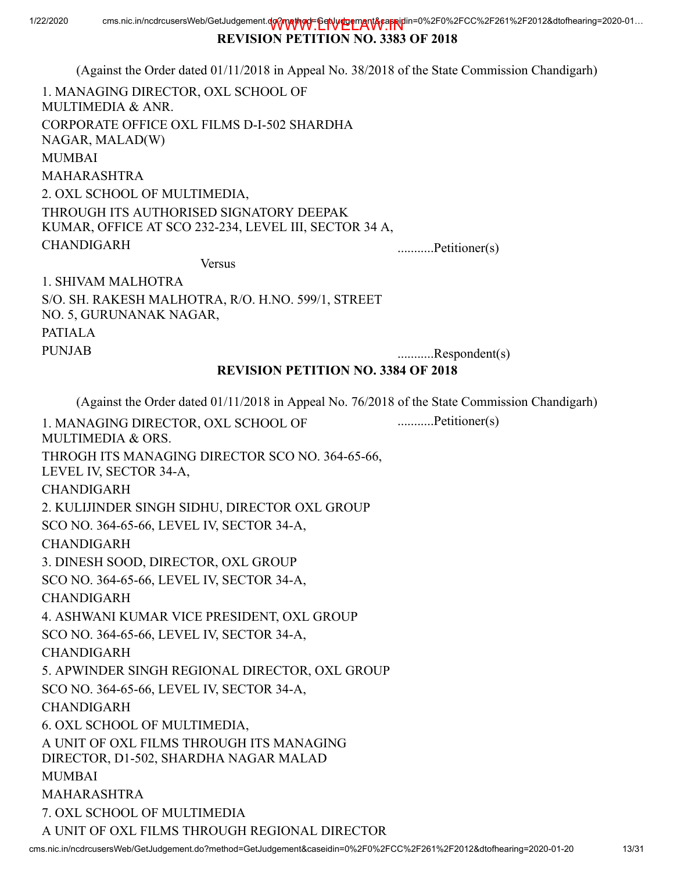## REVISION PETITION NO. 3383 OF 2018

(Against the Order dated 01/11/2018 in Appeal No. 38/2018 of the State Commission Chandigarh)

1. MANAGING DIRECTOR, OXL SCHOOL OF MULTIMEDIA & ANR. CORPORATE OFFICE OXL FILMS D-I-502 SHARDHA NAGAR, MALAD(W) MUMBAI MAHARASHTRA 2. OXL SCHOOL OF MULTIMEDIA, THROUGH ITS AUTHORISED SIGNATORY DEEPAK KUMAR, OFFICE AT SCO 232-234, LEVEL III, SECTOR 34 A, CHANDIGARH ...........Petitioner(s)

Versus

1. SHIVAM MALHOTRA S/O. SH. RAKESH MALHOTRA, R/O. H.NO. 599/1, STREET NO. 5, GURUNANAK NAGAR, PATIALA PUNJAB ...........Respondent(s)

## REVISION PETITION NO. 3384 OF 2018

(Against the Order dated 01/11/2018 in Appeal No. 76/2018 of the State Commission Chandigarh) 1. MANAGING DIRECTOR, OXL SCHOOL OF MULTIMEDIA & ORS. THROGH ITS MANAGING DIRECTOR SCO NO. 364-65-66, LEVEL IV, SECTOR 34-A, CHANDIGARH 2. KULIJINDER SINGH SIDHU, DIRECTOR OXL GROUP SCO NO. 364-65-66, LEVEL IV, SECTOR 34-A, CHANDIGARH 3. DINESH SOOD, DIRECTOR, OXL GROUP SCO NO. 364-65-66, LEVEL IV, SECTOR 34-A, CHANDIGARH 4. ASHWANI KUMAR VICE PRESIDENT, OXL GROUP SCO NO. 364-65-66, LEVEL IV, SECTOR 34-A, CHANDIGARH 5. APWINDER SINGH REGIONAL DIRECTOR, OXL GROUP SCO NO. 364-65-66, LEVEL IV, SECTOR 34-A, CHANDIGARH 6. OXL SCHOOL OF MULTIMEDIA, A UNIT OF OXL FILMS THROUGH ITS MANAGING DIRECTOR, D1-502, SHARDHA NAGAR MALAD MUMBAI MAHARASHTRA 7. OXL SCHOOL OF MULTIMEDIA A UNIT OF OXL FILMS THROUGH REGIONAL DIRECTOR ...........Petitioner(s)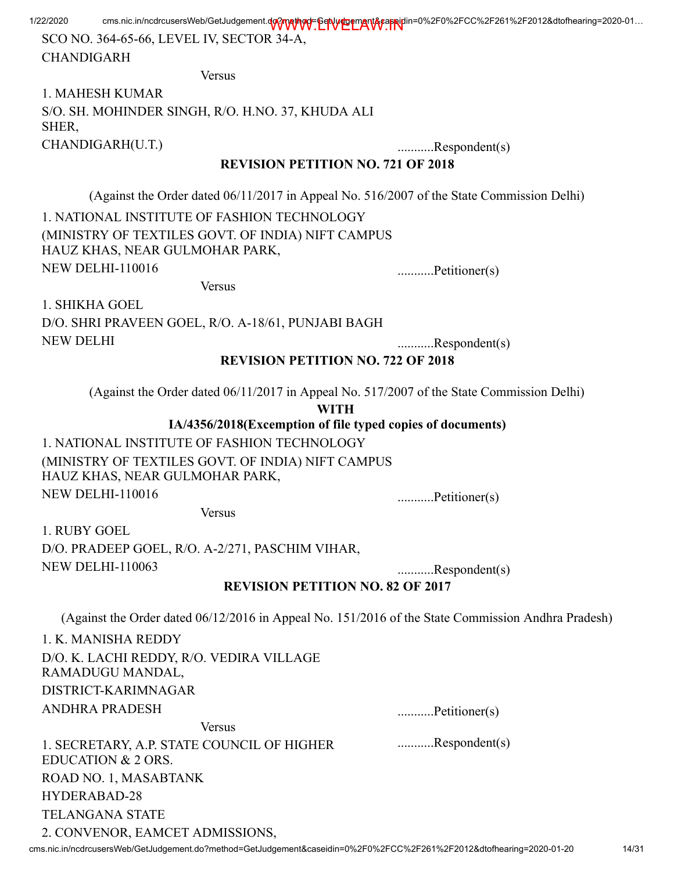SCO NO. 364-65-66, LEVEL IV, SECTOR 34-A, CHANDIGARH

Versus

1. MAHESH KUMAR S/O. SH. MOHINDER SINGH, R/O. H.NO. 37, KHUDA ALI SHER, CHANDIGARH(U.T.) ...........Respondent(s)

### REVISION PETITION NO. 721 OF 2018

(Against the Order dated 06/11/2017 in Appeal No. 516/2007 of the State Commission Delhi)

1. NATIONAL INSTITUTE OF FASHION TECHNOLOGY (MINISTRY OF TEXTILES GOVT. OF INDIA) NIFT CAMPUS HAUZ KHAS, NEAR GULMOHAR PARK, NEW DELHI-110016 ...............Petitioner(s)

Versus

1. SHIKHA GOEL D/O. SHRI PRAVEEN GOEL, R/O. A-18/61, PUNJABI BAGH NEW DELHI ...........Respondent(s)

## REVISION PETITION NO. 722 OF 2018

(Against the Order dated 06/11/2017 in Appeal No. 517/2007 of the State Commission Delhi)

WITH

IA/4356/2018(Excemption of file typed copies of documents)

1. NATIONAL INSTITUTE OF FASHION TECHNOLOGY (MINISTRY OF TEXTILES GOVT. OF INDIA) NIFT CAMPUS HAUZ KHAS, NEAR GULMOHAR PARK, NEW DELHI-110016 ...........Petitioner(s)

Versus

1. RUBY GOEL D/O. PRADEEP GOEL, R/O. A-2/271, PASCHIM VIHAR, NEW DELHI-110063 ...........Respondent(s)

REVISION PETITION NO. 82 OF 2017

(Against the Order dated 06/12/2016 in Appeal No. 151/2016 of the State Commission Andhra Pradesh)

1. K. MANISHA REDDY D/O. K. LACHI REDDY, R/O. VEDIRA VILLAGE RAMADUGU MANDAL, DISTRICT-KARIMNAGAR ANDHRA PRADESH ............Petitioner(s)

...........Respondent(s)

Versus 1. SECRETARY, A.P. STATE COUNCIL OF HIGHER EDUCATION & 2 ORS. ROAD NO. 1, MASABTANK HYDERABAD-28 TELANGANA STATE 2. CONVENOR, EAMCET ADMISSIONS,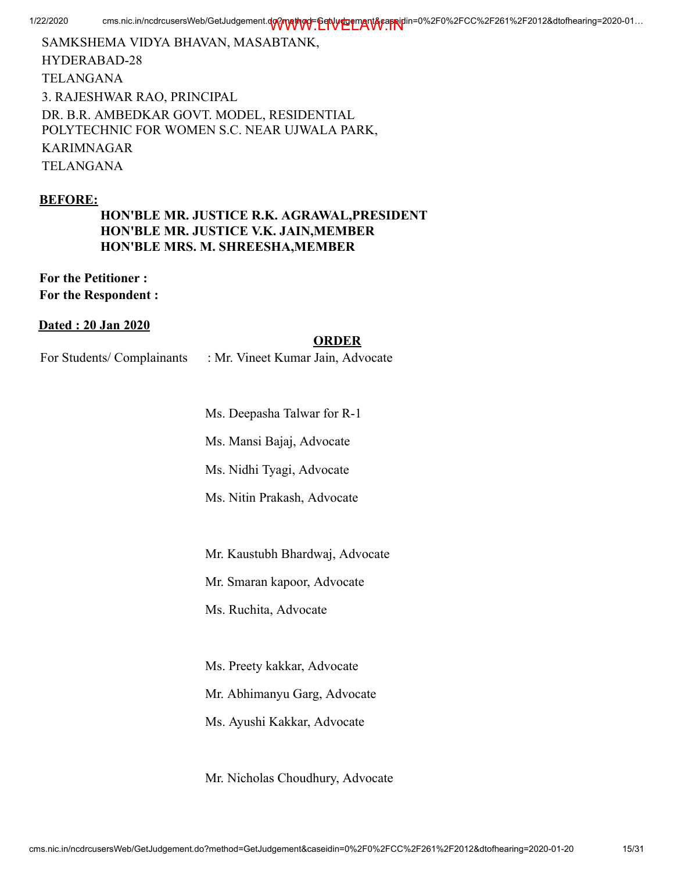SAMKSHEMA VIDYA BHAVAN, MASABTANK, HYDERABAD-28 TELANGANA 3. RAJESHWAR RAO, PRINCIPAL DR. B.R. AMBEDKAR GOVT. MODEL, RESIDENTIAL POLYTECHNIC FOR WOMEN S.C. NEAR UJWALA PARK, KARIMNAGAR TELANGANA

#### BEFORE:

HON'BLE MR. JUSTICE R.K. AGRAWAL,PRESIDENT HON'BLE MR. JUSTICE V.K. JAIN,MEMBER HON'BLE MRS. M. SHREESHA,MEMBER

For the Petitioner : For the Respondent :

#### Dated : 20 Jan 2020

#### ORDER

For Students/ Complainants : Mr. Vineet Kumar Jain, Advocate

Ms. Deepasha Talwar for R-1

Ms. Mansi Bajaj, Advocate

Ms. Nidhi Tyagi, Advocate

Ms. Nitin Prakash, Advocate

Mr. Kaustubh Bhardwaj, Advocate

Mr. Smaran kapoor, Advocate

Ms. Ruchita, Advocate

Ms. Preety kakkar, Advocate

Mr. Abhimanyu Garg, Advocate

Ms. Ayushi Kakkar, Advocate

Mr. Nicholas Choudhury, Advocate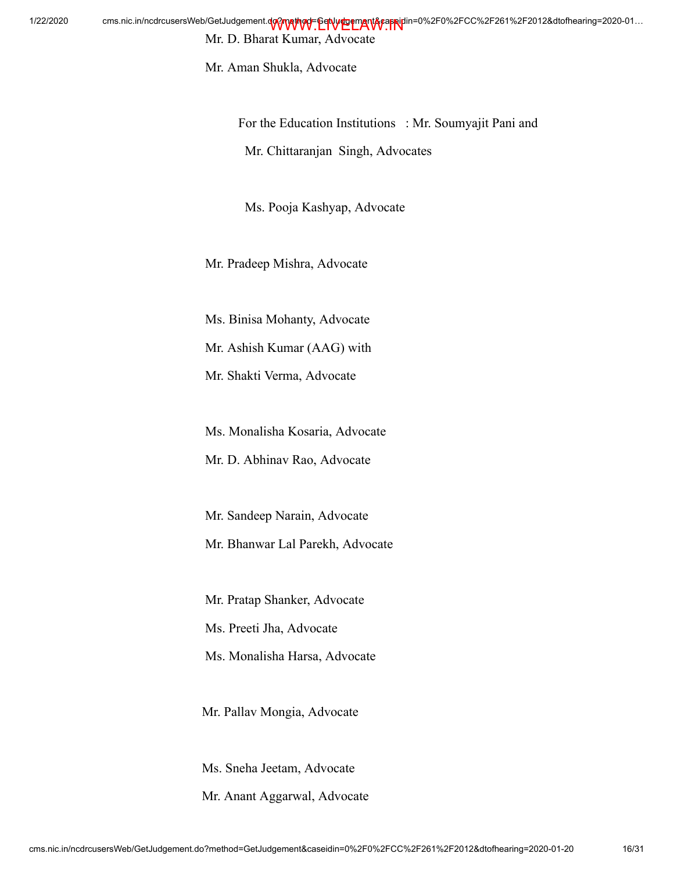Mr. D. Bharat Kumar, Advocate

Mr. Aman Shukla, Advocate

For the Education Institutions : Mr. Soumyajit Pani and Mr. Chittaranjan Singh, Advocates

Ms. Pooja Kashyap, Advocate

Mr. Pradeep Mishra, Advocate

Ms. Binisa Mohanty, Advocate

Mr. Ashish Kumar (AAG) with

Mr. Shakti Verma, Advocate

Ms. Monalisha Kosaria, Advocate

Mr. D. Abhinav Rao, Advocate

Mr. Sandeep Narain, Advocate

Mr. Bhanwar Lal Parekh, Advocate

Mr. Pratap Shanker, Advocate

Ms. Preeti Jha, Advocate

Ms. Monalisha Harsa, Advocate

Mr. Pallav Mongia, Advocate

Ms. Sneha Jeetam, Advocate

Mr. Anant Aggarwal, Advocate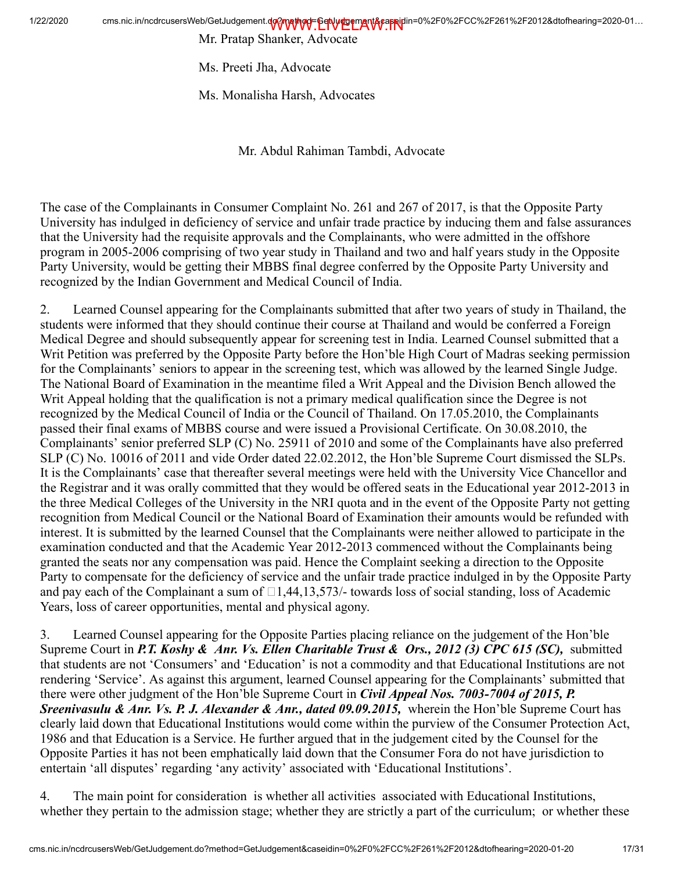Mr. Pratap Shanker, Advocate

Ms. Preeti Jha, Advocate

Ms. Monalisha Harsh, Advocates

Mr. Abdul Rahiman Tambdi, Advocate

The case of the Complainants in Consumer Complaint No. 261 and 267 of 2017, is that the Opposite Party University has indulged in deficiency of service and unfair trade practice by inducing them and false assurances that the University had the requisite approvals and the Complainants, who were admitted in the offshore program in 2005-2006 comprising of two year study in Thailand and two and half years study in the Opposite Party University, would be getting their MBBS final degree conferred by the Opposite Party University and recognized by the Indian Government and Medical Council of India.

2. Learned Counsel appearing for the Complainants submitted that after two years of study in Thailand, the students were informed that they should continue their course at Thailand and would be conferred a Foreign Medical Degree and should subsequently appear for screening test in India. Learned Counsel submitted that a Writ Petition was preferred by the Opposite Party before the Hon'ble High Court of Madras seeking permission for the Complainants' seniors to appear in the screening test, which was allowed by the learned Single Judge. The National Board of Examination in the meantime filed a Writ Appeal and the Division Bench allowed the Writ Appeal holding that the qualification is not a primary medical qualification since the Degree is not recognized by the Medical Council of India or the Council of Thailand. On 17.05.2010, the Complainants passed their final exams of MBBS course and were issued a Provisional Certificate. On 30.08.2010, the Complainants' senior preferred SLP (C) No. 25911 of 2010 and some of the Complainants have also preferred SLP (C) No. 10016 of 2011 and vide Order dated 22.02.2012, the Hon'ble Supreme Court dismissed the SLPs. It is the Complainants' case that thereafter several meetings were held with the University Vice Chancellor and the Registrar and it was orally committed that they would be offered seats in the Educational year 2012-2013 in the three Medical Colleges of the University in the NRI quota and in the event of the Opposite Party not getting recognition from Medical Council or the National Board of Examination their amounts would be refunded with interest. It is submitted by the learned Counsel that the Complainants were neither allowed to participate in the examination conducted and that the Academic Year 2012-2013 commenced without the Complainants being granted the seats nor any compensation was paid. Hence the Complaint seeking a direction to the Opposite Party to compensate for the deficiency of service and the unfair trade practice indulged in by the Opposite Party and pay each of the Complainant a sum of  $\Box$ 1,44,13,573/- towards loss of social standing, loss of Academic Years, loss of career opportunities, mental and physical agony.

3. Learned Counsel appearing for the Opposite Parties placing reliance on the judgement of the Hon'ble Supreme Court in *P.T. Koshy & Anr. Vs. Ellen Charitable Trust & Ors., 2012 (3) CPC 615 (SC),* submitted that students are not 'Consumers' and 'Education' is not a commodity and that Educational Institutions are not rendering 'Service'. As against this argument, learned Counsel appearing for the Complainants' submitted that there were other judgment of the Hon'ble Supreme Court in *Civil Appeal Nos. 7003-7004 of 2015, P. Sreenivasulu & Anr. Vs. P. J. Alexander & Anr., dated 09.09.2015,* wherein the Hon'ble Supreme Court has clearly laid down that Educational Institutions would come within the purview of the Consumer Protection Act, 1986 and that Education is a Service. He further argued that in the judgement cited by the Counsel for the Opposite Parties it has not been emphatically laid down that the Consumer Fora do not have jurisdiction to entertain 'all disputes' regarding 'any activity' associated with 'Educational Institutions'.

4. The main point for consideration is whether all activities associated with Educational Institutions, whether they pertain to the admission stage; whether they are strictly a part of the curriculum; or whether these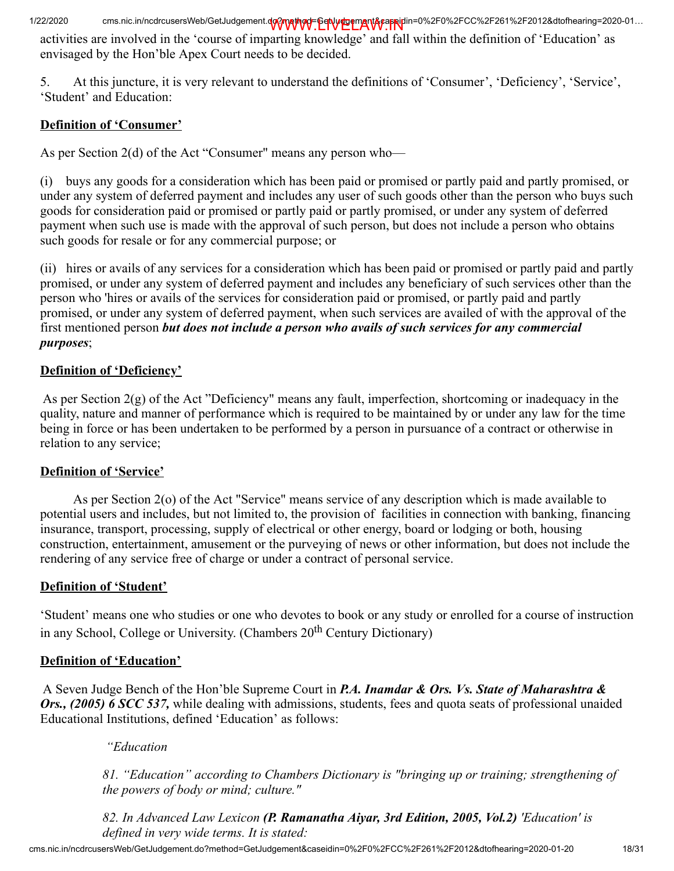activities are involved in the 'course of imparting knowledge' and fall within the definition of 'Education' as envisaged by the Hon'ble Apex Court needs to be decided.

5. At this juncture, it is very relevant to understand the definitions of 'Consumer', 'Deficiency', 'Service', 'Student' and Education:

# Definition of 'Consumer'

As per Section 2(d) of the Act "Consumer" means any person who—

(i) buys any goods for a consideration which has been paid or promised or partly paid and partly promised, or under any system of deferred payment and includes any user of such goods other than the person who buys such goods for consideration paid or promised or partly paid or partly promised, or under any system of deferred payment when such use is made with the approval of such person, but does not include a person who obtains such goods for resale or for any commercial purpose; or

(ii) hires or avails of any services for a consideration which has been paid or promised or partly paid and partly prom ised, or under any system of deferred payment and includes any beneficiary of such services other than the person who 'hires or avails of the services for consideration paid or promised, or partly paid and partly promised, or under any system of deferred payment, when such services are availed of with the approval of the first mentioned person *but does not include a person who avails of such services for any commercial purposes*;

# Definition of 'Deficiency'

As per Section 2(g) of the Act "Deficiency" means any fault, imperfection, shortcoming or inade quacy in the quality, nature and manner of performance which is required to be maintained by or under any law for the time being in force or has been undertaken to be performed by a person in pursuance of a contract or otherwise in relation to any service;

# Definition of 'Service'

As per Section 2(o) of the Act "Service" means service of any description which is made available to potential users and includes, but not limited to, the provision of facilities in connection with banking, financing insurance, transport, processing, supply of electrical or other energy, board or lodging or both, housing construction, entertainment, amusement or the purveying of news or other information, but does not include the rendering of any service free of charge or under a contract of personal service.

# Definition of 'Student'

'Student' means one who studies or one who devotes to book or any study or enrolled for a course of instruction in any School, College or University. (Chambers 20<sup>th</sup> Century Dictionary)

## Definition of 'Education'

A Seven Judge Bench of the Hon'ble Supreme Court in *P.A. Inamdar & Ors. Vs. State of Maharashtra & Ors., (2005) 6 SCC 537,* while dealing with admissions, students, fees and quota seats of professional unaided Educational Institutions, defined 'Education' as follows:

## *"Education*

*81. "Education" according to Chambers Dictionary is "bringing up or training; strengthening of the powers of body or mind; culture."*

*82. In Advanced Law Lexicon (P. Ramanatha Aiyar, 3rd Edition, 2005, Vol.2) 'Education' is defined in very wide terms. It is stated:*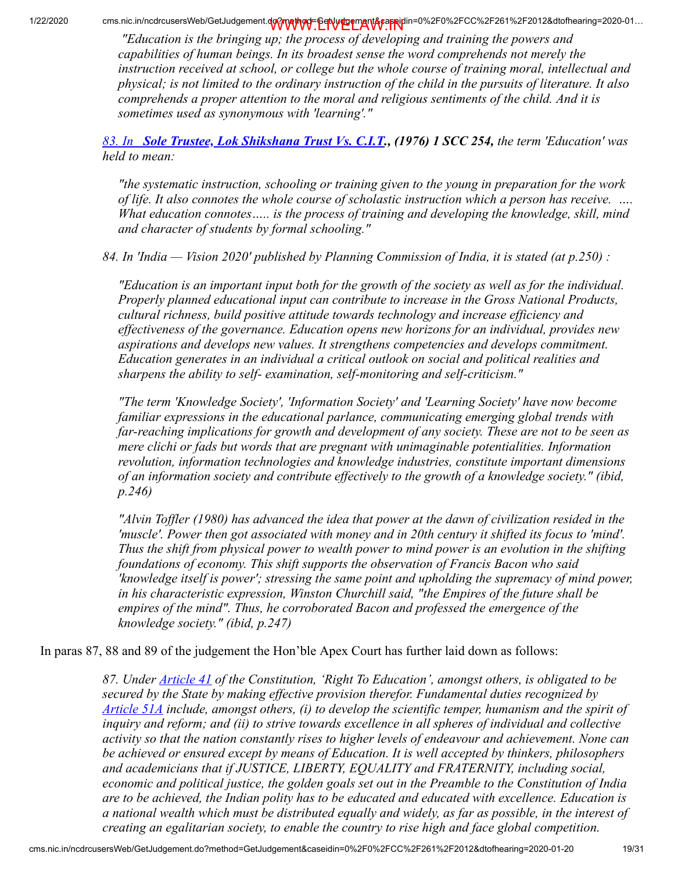*"Education is the bringing up; the process of developing and training the powers and capabilities of human beings. In its broadest sense the word comprehends not merely the instruction received at school, or college but the whole course of training moral, intellectual and physical; is not limited to the ordinary instruction of the child in the pursuits of literature. It also comprehends a proper attention to the moral and religious sentiments of the child. And it is sometimes used as synonymous with 'learning'."*

*83. In [Sole Trustee, Lok Shikshana Trust Vs. C.I.T](https://indiankanoon.org/doc/1045974/)., (1976) 1 SCC 254, the term 'Education' was held to mean:*

*"the systematic instruction, schooling or training given to the young in preparation for the work of life. It also connotes the whole course of scholastic instruction which a person has receive. …. What education connotes….. is the process of training and developing the knowledge, skill, mind and character of students by formal schooling."*

*84. In 'India — Vision 2020' published by Planning Commission of India, it is stated (at p.250) :*

*"Education is an important input both for the growth of the society as well as for the individual. Properly planned educational input can contribute to increase in the Gross National Products, cultural richness, build positive attitude towards technology and increase efficiency and effectiveness of the governance. Education opens new horizons for an individual, provides new aspirations and develops new values. It strengthens competencies and develops commitment. Education generates in an individual a critical outlook on social and political realities and sharpens the ability to self- examination, self-monitoring and self-criticism."*

*"The term 'Knowledge Society', 'Information Society' and 'Learning Society' have now become familiar expressions in the educational parlance, communicating emerging global trends with far-reaching implications for growth and development of any society. These are not to be seen as mere clichi or fads but words that are pregnant with unimaginable potentialities. Information revolution, information technologies and knowledge industries, constitute important dimensions of an information society and contribute effectively to the growth of a knowledge society." (ibid, p.246)*

*"Alvin Toffler (1980) has advanced the idea that power at the dawn of civilization resided in the 'muscle'. Power then got associated with money and in 20th century it shifted its focus to 'mind'. Thus the shift from physical power to wealth power to mind power is an evolution in the shifting foundations of economy. This shift supports the observation of Francis Bacon who said 'knowledge itself is power'; stressing the same point and upholding the supremacy of mind power, in his characteristic expression, Winston Churchill said, "the Empires of the future shall be empires of the mind". Thus, he corroborated Bacon and professed the emergence of the knowledge society." (ibid, p.247)*

In paras 87, 88 and 89 of the judgement the Hon'ble Apex Court has further laid down as follows:

*87. Under [Article 41](https://indiankanoon.org/doc/1975922/) of the Constitution, 'Right To Education', amongst others, is obligated to be secured by the State by making effective provision therefor. Fundamental duties recognized by [Article 51A](https://indiankanoon.org/doc/867010/) include, amongst others, (i) to develop the scientific temper, humanism and the spirit of inquiry and reform; and (ii) to strive towards excellence in all spheres of individual and collective activity so that the nation constantly rises to higher levels of endeavour and achievement. None can be achieved or ensured except by means of Education. It is well accepted by thinkers, philosophers and academicians that if JUSTICE, LIBERTY, EQUALITY and FRATERNITY, including social, economic and political justice, the golden goals set out in the Preamble to the Constitution of India are to be achieved, the Indian polity has to be educated and educated with excellence. Education is a national wealth which must be distributed equally and widely, as far as possible, in the interest of creating an egalitarian society, to enable the country to rise high and face global competition.*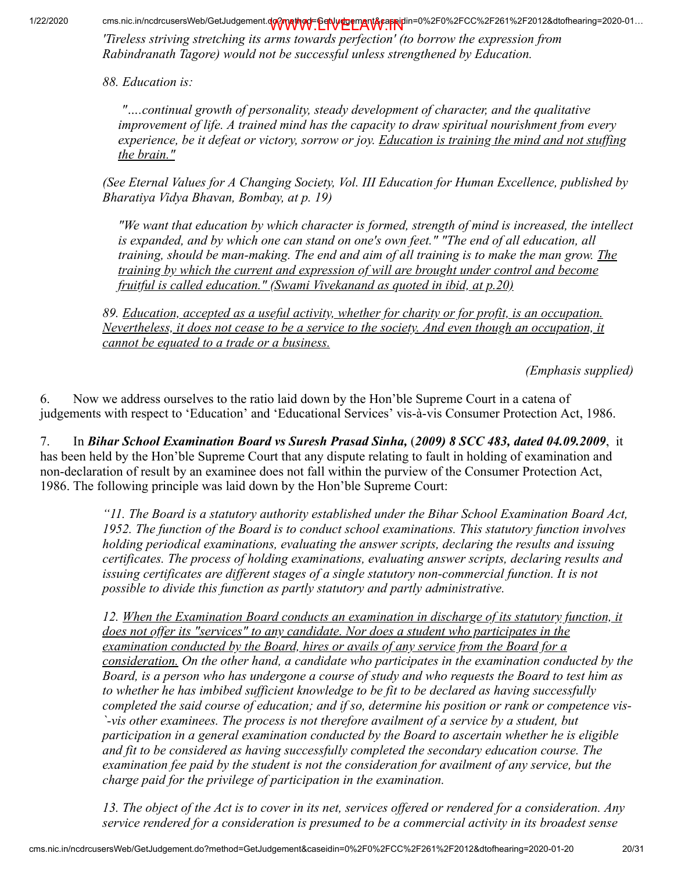*'Tireless striving stretching its arms towards perfection' (to borrow the expression from Rabindranath Tagore) would not be successful unless strengthened by Education.*

*88. Education is:*

*"….continual growth of personality, steady development of character, and the qualitative improvement of life. A trained mind has the capacity to draw spiritual nourishment from every experience, be it defeat or victory, sorrow or joy. Education is training the mind and not stuffing the brain."*

*(See Eternal Values for A Changing Society, Vol. III Education for Human Excellence, published by Bharatiya Vidya Bhavan, Bombay, at p. 19)*

*"We want that education by which character is formed, strength of mind is increased, the intellect is expanded, and by which one can stand on one's own feet." "The end of all education, all training, should be man-making. The end and aim of all training is to make the man grow. The training by which the current and expression of will are brought under control and become fruitful is called education." (Swami Vivekanand as quoted in ibid, at p.20)*

*89. Education, accepted as a useful activity, whether for charity or for profit, is an occupation. Nevertheless, it does not cease to be a service to the society. And even though an occupation, it cannot be equated to a trade or a business.*

 *(Emphasis supplied)*

6. Now we address ourselves to the ratio laid down by the Hon'ble Supreme Court in a catena of judgements with respect to 'Education' and 'Educational Services' vis-à-vis Consumer Protection Act, 1986.

7. In *Bihar School Examination Board vs Suresh Prasad Sinha,* (*2009) 8 SCC 483, dated 04.09.2009*, it has been held by the Hon'ble Supreme Court that any dispute relating to fault in holding of examination and non-declaration of result by an examinee does not fall within the purview of the Consumer Protection Act, 1986. The following principle was laid down by the Hon'ble Supreme Court:

> *"11. The Board is a statutory authority established under the Bihar School Examination Board Act, 1952. The function of the Board is to conduct school examinations. This statutory function involves holding periodical examinations, evaluating the answer scripts, declaring the results and issuing certificates. The process of holding examinations, evaluating answer scripts, declaring results and issuing certificates are different stages of a single statutory non-commercial function. It is not possible to divide this function as partly statutory and partly administrative.*

*12. When the Examination Board conducts an examination in discharge of its statutory function, it does not offer its "services" to any candidate. Nor does a student who participates in the examination conducted by the Board, hires or avails of any service from the Board for a consideration. On the other hand, a candidate who participates in the examination conducted by the Board, is a person who has undergone a course of study and who requests the Board to test him as to whether he has imbibed sufficient knowledge to be fit to be declared as having successfully completed the said course of education; and if so, determine his position or rank or competence vis- `-vis other examinees. The process is not therefore availment of a service by a student, but participation in a general examination conducted by the Board to ascertain whether he is eligible and fit to be considered as having successfully completed the secondary education course. The examination fee paid by the student is not the consideration for availment of any service, but the charge paid for the privilege of participation in the examination.*

*13. The object of the Act is to cover in its net, services offered or rendered for a consideration. Any service rendered for a consideration is presumed to be a commercial activity in its broadest sense*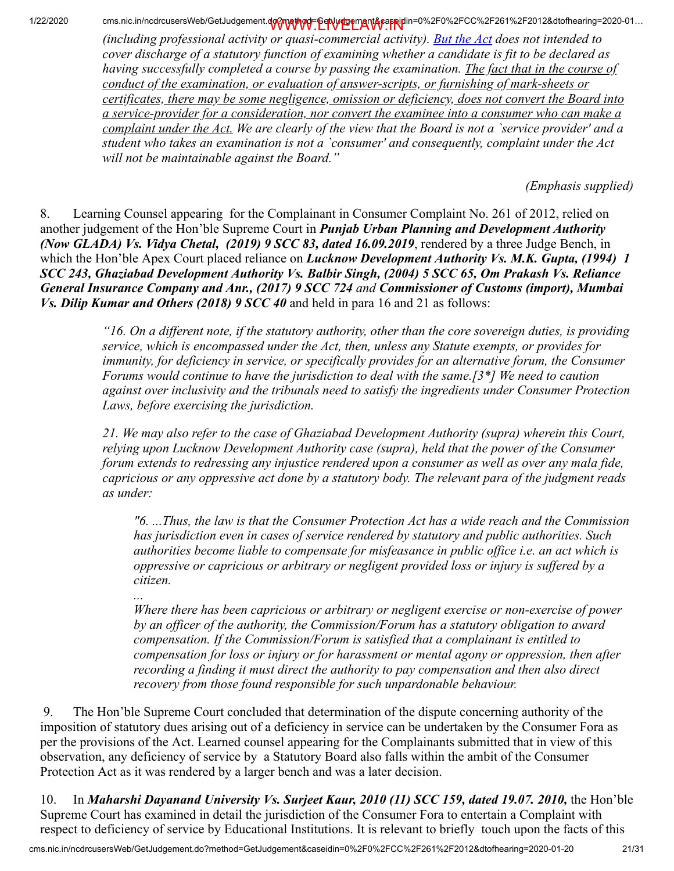*(including professional activity or quasi-commercial activity). [But the Act](https://indiankanoon.org/doc/1733066/) does not intended to cover discharge of a statutory function of examining whether a candidate is fit to be declared as having successfully completed a course by passing the examination. The fact that in the course of conduct of the examination, or evaluation of answer-scripts, or furnishing of mark-sheets or certificates, there may be some negligence, omission or deficiency, does not convert the Board into a service-provider for a consideration, nor convert the examinee into a consumer who can make a complaint under the Act. We are clearly of the view that the Board is not a `service provider' and a student who takes an examination is not a `consumer' and consequently, complaint under the Act will not be maintainable against the Board."*

*(Emphasis supplied)*

8. Learning Counsel appearing for the Complainant in Consumer Complaint No. 261 of 2012, relied on another judgement of the Hon'ble Supreme Court in *Punjab Urban Planning and Development Authority (Now GLADA) Vs. Vidya Chetal, (2019) 9 SCC 83, dated 16.09.2019*, rendered by a three Judge Bench, in which the Hon'ble Apex Court placed reliance on *Lucknow Development Authority Vs. M.K. Gupta, (1994) 1 SCC 243, Ghaziabad Development Authority Vs. Balbir Singh, (2004) 5 SCC 65, Om Prakash Vs. Reliance General Insurance Company and Anr., (2017) 9 SCC 724 and Commissioner of Customs (import), Mumbai Vs. Dilip Kumar and Others (2018) 9 SCC 40* and held in para 16 and 21 as follows:

> *"16. On a different note, if the statutory authority, other than the core sovereign duties, is providing service, which is encompassed under the Act, then, unless any Statute exempts, or provides for immunity, for deficiency in service, or specifically provides for an alternative forum, the Consumer Forums would continue to have the jurisdiction to deal with the same.[3\*] We need to caution against over inclusivity and the tribunals need to satisfy the ingredients under Consumer Protection Laws, before exercising the jurisdiction.*

> *21. We may also refer to the case of Ghaziabad Development Authority (supra) wherein this Court, relying upon Lucknow Development Authority case (supra), held that the power of the Consumer forum extends to redressing any injustice rendered upon a consumer as well as over any mala fide, capricious or any oppressive act done by a statutory body. The relevant para of the judgment reads as under:*

*"6. ...Thus, the law is that the Consumer Protection Act has a wide reach and the Commission has jurisdiction even in cases of service rendered by statutory and public authorities. Such authorities become liable to compensate for misfeasance in public office i.e. an act which is oppressive or capricious or arbitrary or negligent provided loss or injury is suffered by a citizen.*

*Where there has been capricious or arbitrary or negligent exercise or non-exercise of power by an officer of the authority, the Commission/Forum has a statutory obligation to award compensation. If the Commission/Forum is satisfied that a complainant is entitled to compensation for loss or injury or for harassment or mental agony or oppression, then after recording a finding it must direct the authority to pay compensation and then also direct recovery from those found responsible for such unpardonable behaviour.*

 9. The Hon'ble Supreme Court concluded that determination of the dispute concerning authority of the imposition of statutory dues arising out of a deficiency in service can be undertaken by the Consumer Fora as per the provisions of the Act. Learned counsel appearing for the Complainants submitted that in view of this observation, any deficiency of service by a Statutory Board also falls within the ambit of the Consumer Protection Act as it was rendered by a larger bench and was a later decision.

10. In *Maharshi Dayanand University Vs. Surjeet Kaur, 2010 (11) SCC 159, dated 19.07. 2010,* the Hon'ble Supreme Court has examined in detail the jurisdiction of the Consumer Fora to entertain a Complaint with respect to deficiency of service by Educational Institutions. It is relevant to briefly touch upon the facts of this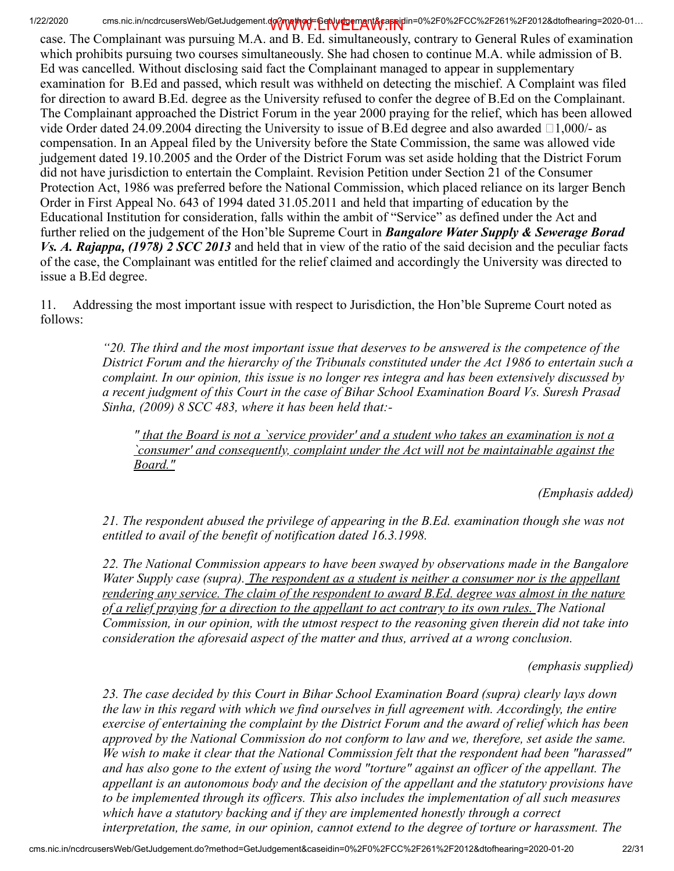case. The Complainant was pursuing M.A. and B. Ed. simultaneously, contrary to General Rules of examination which prohibits pursuing two courses simultaneously. She had chosen to continue M.A. while admission of B. Ed was cancelled. Without disclosing said fact the Complainant managed to appear in supplementary examination for B.Ed and passed, which result was withheld on detecting the mischief. A Complaint was filed for direction to award B.Ed. degree as the University refused to confer the degree of B.Ed on the Complainant. The Complainant approached the District Forum in the year 2000 praying for the relief, which has been allowed vide Order dated 24.09.2004 directing the University to issue of B.Ed degree and also awarded  $\Box$ 1,000/- as compensation. In an Appeal filed by the University before the State Commission, the same was allowed vide judgement dated 19.10.2005 and the Order of the District Forum was set aside holding that the District Forum did not have jurisdiction to entertain the Complaint. Revision Petition under Section 21 of the Consumer Protection Act, 1986 was preferred before the National Commission, which placed reliance on its larger Bench Order in First Appeal No. 643 of 1994 dated 31.05.2011 and held that imparting of education by the Educational Institution for consideration, falls within the ambit of "Service" as defined under the Act and further relied on the judgement of the Hon'ble Supreme Court in *Bangalore Water Supply & Sewerage Borad Vs. A. Rajappa, (1978) 2 SCC 2013* and held that in view of the ratio of the said decision and the peculiar facts of the case, the Complainant was entitled for the relief claimed and accordingly the University was directed to issue a B.Ed degree.

11. Addressing the most important issue with respect to Jurisdiction, the Hon'ble Supreme Court noted as follows:

> *"20. The third and the most important issue that deserves to be answered is the competence of the District Forum and the hierarchy of the Tribunals constituted under the Act 1986 to entertain such a complaint. In our opinion, this issue is no longer res integra and has been extensively discussed by a recent judgment of this Court in the case of Bihar School Examination Board Vs. Suresh Prasad Sinha, (2009) 8 SCC 483, where it has been held that:-*

*" that the Board is not a `service provider' and a student who takes an examination is not a `consumer' and consequently, complaint under the Act will not be maintainable against the Board."*

*(Emphasis added)*

*21. The respondent abused the privilege of appearing in the B.Ed. examination though she was not entitled to avail of the benefit of notification dated 16.3.1998.*

*22. The National Commission appears to have been swayed by observations made in the Bangalore Water Supply case (supra). The respondent as a student is neither a consumer nor is the appellant rendering any service. The claim of the respondent to award B.Ed. degree was almost in the nature of a relief praying for a direction to the appellant to act contrary to its own rules. The National Commission, in our opinion, with the utmost respect to the reasoning given therein did not take into consideration the aforesaid aspect of the matter and thus, arrived at a wrong conclusion.*

*(emphasis supplied)*

*23. The case decided by this Court in Bihar School Examination Board (supra) clearly lays down the law in this regard with which we find ourselves in full agreement with. Accordingly, the entire exercise of entertaining the complaint by the District Forum and the award of relief which has been approved by the National Commission do not conform to law and we, therefore, set aside the same. We wish to make it clear that the National Commission felt that the respondent had been "harassed" and has also gone to the extent of using the word "torture" against an officer of the appellant. The appellant is an autonomous body and the decision of the appellant and the statutory provisions have to be implemented through its officers. This also includes the implementation of all such measures which have a statutory backing and if they are implemented honestly through a correct interpretation, the same, in our opinion, cannot extend to the degree of torture or harassment. The*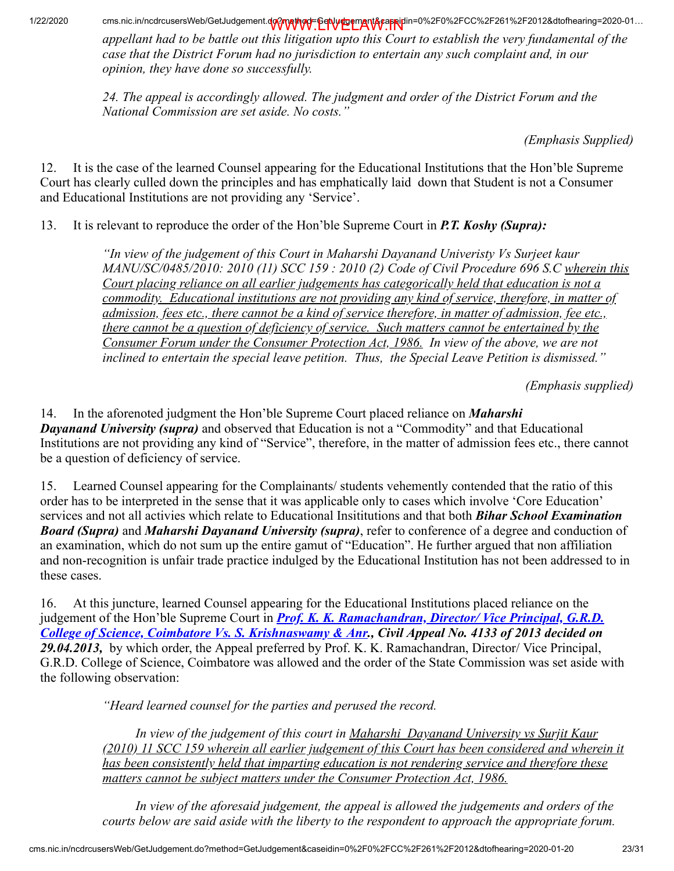*appellant had to be battle out this litigation upto this Court to establish the very fundamental of the case that the District Forum had no jurisdiction to entertain any such complaint and, in our opinion, they have done so successfully.*

*24. The appeal is accordingly allowed. The judgment and order of the District Forum and the National Commission are set aside. No costs."*

*(Emphasis Supplied)*

12. It is the case of the learned Counsel appearing for the Educational Institutions that the Hon'ble Supreme Court has clearly culled down the principles and has emphatically laid down that Student is not a Consumer and Educational Institutions are not providing any 'Service'.

13. It is relevant to reproduce the order of the Hon'ble Supreme Court in *P.T. Koshy (Supra):*

*"In view of the judgement of this Court in Maharshi Dayanand Univeristy Vs Surjeet kaur MANU/SC/0485/2010: 2010 (11) SCC 159 : 2010 (2) Code of Civil Procedure 696 S.C wherein this Court placing reliance on all earlier judgements has categorically held that education is not a commodity. Educational institutions are not providing any kind of service, therefore, in matter of admission, fees etc., there cannot be a kind of service therefore, in matter of admission, fee etc., there cannot be a question of deficiency of service. Such matters cannot be entertained by the Consumer Forum under the Consumer Protection Act, 1986. In view of the above, we are not inclined to entertain the special leave petition. Thus, the Special Leave Petition is dismissed."*

 *(Emphasis supplied)*

14. In the aforenoted judgment the Hon'ble Supreme Court placed reliance on *Maharshi Dayanand University (supra)* and observed that Education is not a "Commodity" and that Educational Institutions are not providing any kind of "Service", therefore, in the matter of admission fees etc., there cannot be a question of deficiency of service.

15. Learned Counsel appearing for the Complainants/ students vehemently contended that the ratio of this order has to be interpreted in the sense that it was applicable only to cases which involve 'Core Education' services and not all activies which relate to Educational Insititutions and that both *Bihar School Examination Board (Supra)* and *Maharshi Dayanand University (supra)*, refer to conference of a degree and conduction of an examination, which do not sum up the entire gamut of "Education". He further argued that non affiliation and non-recognition is unfair trade practice indulged by the Educational Institution has not been addressed to in these cases.

16. At this juncture, learned Counsel appearing for the Educational Institutions placed reliance on the judgement of the Hon'ble Supreme Court in *Prof. K. K. Ramachandran, Director/ Vice Principal, G.R.D. [College of Science, Coimbatore Vs. S. Krishnaswamy & Anr., Civil Appeal No. 4133 of 2013 decided on](https://indiankanoon.org/doc/67746139/) 29.04.2013,* by which order, the Appeal preferred by Prof. K. K. Ramachandran, Director/ Vice Principal, G.R.D. College of Science, Coimbatore was allowed and the order of the State Commission was set aside with the following observation:

*"Heard learned counsel for the parties and perused the record.*

 *In view of the judgement of this court in Maharshi Dayanand University vs Surjit Kaur (2010) 11 SCC 159 wherein all earlier judgement of this Court has been considered and wherein it has been consistently held that imparting education is not rendering service and therefore these matters cannot be subject matters under the Consumer Protection Act, 1986.*

 *In view of the aforesaid judgement, the appeal is allowed the judgements and orders of the courts below are said aside with the liberty to the respondent to approach the appropriate forum.*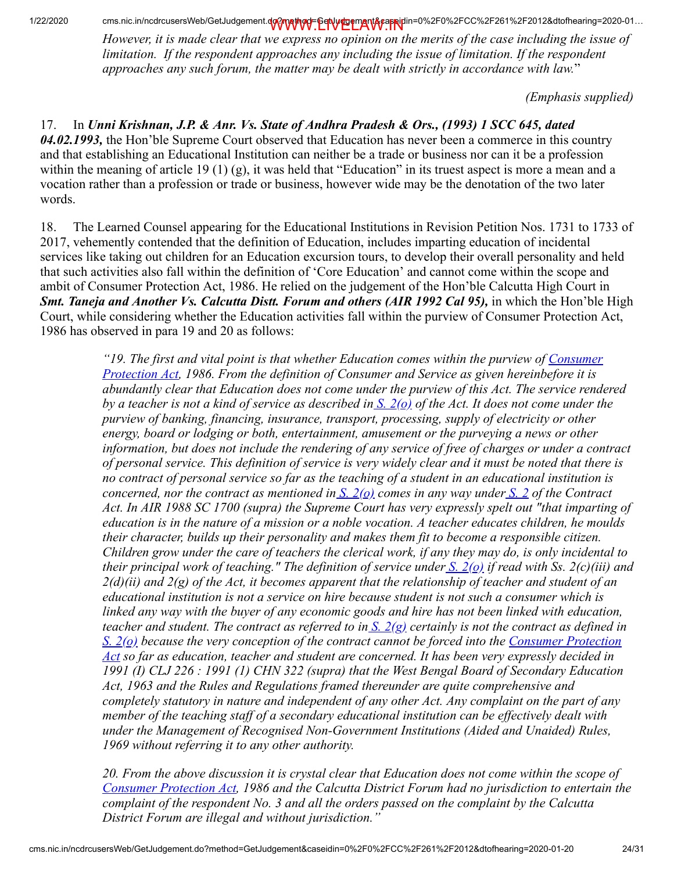*However, it is made clear that we express no opinion on the merits of the case including the issue of limitation. If the respondent approaches any including the issue of limitation. If the respondent approaches any such forum, the matter may be dealt with strictly in accordance with law.*"

*(Emphasis supplied)*

17. In *Unni Krishnan, J.P. & Anr. Vs. State of Andhra Pradesh & Ors., (1993) 1 SCC 645, dated 04.02.1993,* the Hon'ble Supreme Court observed that Education has never been a commerce in this country and that establishing an Educational Institution can neither be a trade or business nor can it be a profession within the meaning of article 19 (1) (g), it was held that "Education" in its truest aspect is more a mean and a vocation rather than a profession or trade or business, however wide may be the denotation of the two later words.

18. The Learned Counsel appearing for the Educational Institutions in Revision Petition Nos. 1731 to 1733 of 2017, vehemently contended that the definition of Education, includes imparting education of incidental services like taking out children for an Education excursion tours, to develop their overall personality and held that such activities also fall within the definition of 'Core Education' and cannot come within the scope and ambit of Consumer Protection Act, 1986. He relied on the judgement of the Hon'ble Calcutta High Court in *Smt. Taneja and Another Vs. Calcutta Distt. Forum and others (AIR 1992 Cal 95), in which the Hon'ble High* Court, while considering whether the Education activities fall within the purview of Consumer Protection Act, 1986 has observed in para 19 and 20 as follows:

> *["19. The first and vital point is that whether Education comes within the purview of Consumer](https://indiankanoon.org/doc/1733066/) Protection Act, 1986. From the definition of Consumer and Service as given hereinbefore it is abundantly clear that Education does not come under the purview of this Act. The service rendered by a teacher is not a kind of service as described in [S. 2\(o\)](https://indiankanoon.org/doc/334666/) of the Act. It does not come under the purview of banking, financing, insurance, transport, processing, supply of electricity or other energy, board or lodging or both, entertainment, amusement or the purveying a news or other information, but does not include the rendering of any service of free of charges or under a contract of personal service. This definition of service is very widely clear and it must be noted that there is no contract of personal service so far as the teaching of a student in an educational institution is concerned, nor the contract as mentioned in [S. 2\(o\)](https://indiankanoon.org/doc/334666/) comes in any way under [S. 2](https://indiankanoon.org/doc/831280/) of the Contract Act. In AIR 1988 SC 1700 (supra) the Supreme Court has very expressly spelt out "that imparting of education is in the nature of a mission or a noble vocation. A teacher educates children, he moulds their character, builds up their personality and makes them fit to become a responsible citizen. Children grow under the care of teachers the clerical work, if any they may do, is only incidental to their principal work of teaching." The definition of service under [S. 2\(o\)](https://indiankanoon.org/doc/334666/) if read with Ss. 2(c)(iii) and 2(d)(ii) and 2(g) of the Act, it becomes apparent that the relationship of teacher and student of an educational institution is not a service on hire because student is not such a consumer which is linked any way with the buyer of any economic goods and hire has not been linked with education, teacher and student. The contract as referred to i[n S. 2\(g\)](https://indiankanoon.org/doc/334666/) certainly is not the contract as defined in [S. 2\(o\) because the very conception of the contract cannot be forced into the Consumer Protection](https://indiankanoon.org/doc/1733066/) Act so far as education, teacher and student are concerned. It has been very expressly decided in 1991 (I) CLJ 226 : 1991 (1) CHN 322 (supra) that the West Bengal Board of Secondary Education Act, 1963 and the Rules and Regulations framed thereunder are quite comprehensive and completely statutory in nature and independent of any other Act. Any complaint on the part of any member of the teaching staff of a secondary educational institution can be effectively dealt with under the Management of Recognised Non-Government Institutions (Aided and Unaided) Rules, 1969 without referring it to any other authority.*

> *20. From the above discussion it is crystal clear that Education does not come within the scope of [Consumer Protection Act,](https://indiankanoon.org/doc/1733066/) 1986 and the Calcutta District Forum had no jurisdiction to entertain the complaint of the respondent No. 3 and all the orders passed on the complaint by the Calcutta District Forum are illegal and without jurisdiction."*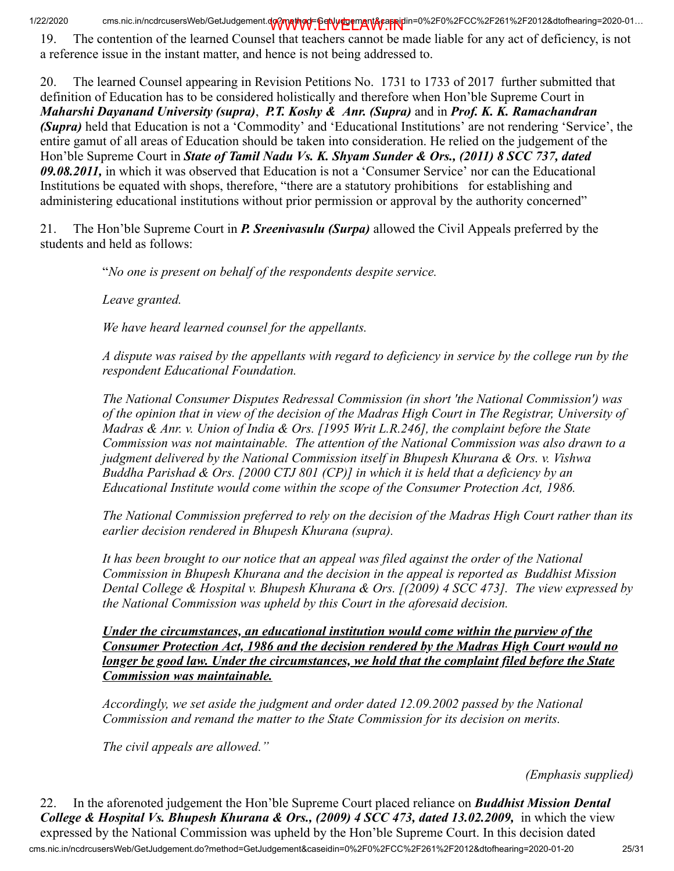19. The contention of the learned Counsel that teachers cannot be made liable for any act of deficiency, is not a reference issue in the instant matter, and hence is not being addressed to.

20. The learned Counsel appearing in Revision Petitions No. 1731 to 1733 of 2017 further submitted that definition of Education has to be considered holistically and therefore when Hon'ble Supreme Court in *Maharshi Dayanand University (supra)*, *P.T. Koshy & Anr. (Supra)* and in *Prof. K. K. Ramachandran (Supra)* held that Education is not a 'Commodity' and 'Educational Institutions' are not rendering 'Service', the entire gamut of all areas of Education should be taken into consideration. He relied on the judgement of the Hon'ble Supreme Court in *State of Tamil Nadu Vs. K. Shyam Sunder & Ors., (2011) 8 SCC 737, dated 09.08.2011,* in which it was observed that Education is not a 'Consumer Service' nor can the Educational Institutions be equated with shops, therefore, "there are a statutory prohibitions for establishing and administering educational institutions without prior permission or approval by the authority concerned"

21. The Hon'ble Supreme Court in *P. Sreenivasulu (Surpa)* allowed the Civil Appeals preferred by the students and held as follows:

"*No one is present on behalf of the respondents despite service.*

*Leave granted.*

*We have heard learned counsel for the appellants.*

*A dispute was raised by the appellants with regard to deficiency in service by the college run by the respondent Educational Foundation.*

*The National Consumer Disputes Redressal Commission (in short 'the National Commission') was of the opinion that in view of the decision of the Madras High Court in The Registrar, University of Madras & Anr. v. Union of India & Ors. [1995 Writ L.R.246], the complaint before the State Commission was not maintainable. The attention of the National Commission was also drawn to a judgment delivered by the National Commission itself in Bhupesh Khurana & Ors. v. Vishwa Buddha Parishad & Ors. [2000 CTJ 801 (CP)] in which it is held that a deficiency by an Educational Institute would come within the scope of the Consumer Protection Act, 1986.*

*The National Commission preferred to rely on the decision of the Madras High Court rather than its earlier decision rendered in Bhupesh Khurana (supra).*

*It has been brought to our notice that an appeal was filed against the order of the National Commission in Bhupesh Khurana and the decision in the appeal is reported as Buddhist Mission Dental College & Hospital v. Bhupesh Khurana & Ors. [(2009) 4 SCC 473]. The view expressed by the National Commission was upheld by this Court in the aforesaid decision.*

*Under the circumstances, an educational institution would come within the purview of the Consumer Protection Act, 1986 and the decision rendered by the Madras High Court would no longer be good law. Under the circumstances, we hold that the complaint filed before the State Commission was maintainable.*

*Accordingly, we set aside the judgment and order dated 12.09.2002 passed by the National Commission and remand the matter to the State Commission for its decision on merits.*

*The civil appeals are allowed."*

*(Emphasis supplied)*

cms.nic.in/ncdrcusersWeb/GetJudgement.do?method=GetJudgement&caseidin=0%2F0%2FCC%2F261%2F2012&dtofhearing=2020-01-20 25/31 22. In the aforenoted judgement the Hon'ble Supreme Court placed reliance on *Buddhist Mission Dental College & Hospital Vs. Bhupesh Khurana & Ors., (2009) 4 SCC 473, dated 13.02.2009,* in which the view expressed by the National Commission was upheld by the Hon'ble Supreme Court. In this decision dated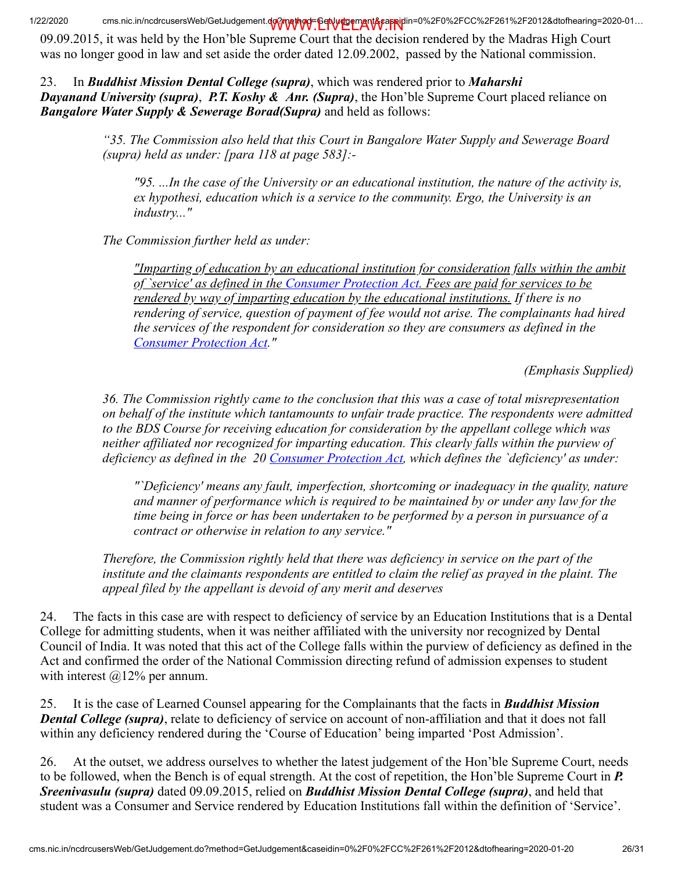09.09.2015, it was held by the Hon'ble Supreme Court that the decision rendered by the Madras High Court was no longer good in law and set aside the order dated 12.09.2002, passed by the National commission.

23. In *Buddhist Mission Dental College (supra)*, which was rendered prior to *Maharshi Dayanand University (supra)*, *P.T. Koshy & Anr. (Supra)*, the Hon'ble Supreme Court placed reliance on *Bangalore Water Supply & Sewerage Borad(Supra)* and held as follows:

> *"35. The Commission also held that this Court in Bangalore Water Supply and Sewerage Board (supra) held as under: [para 118 at page 583]:-*

*"95. ...In the case of the University or an educational institution, the nature of the activity is, ex hypothesi, education which is a service to the community. Ergo, the University is an industry..."*

*The Commission further held as under:*

*"Imparting of education by an educational institution for consideration falls within the ambit of `service' as defined in the [Consumer Protection Act.](https://indiankanoon.org/doc/1733066/) Fees are paid for services to be rendered by way of imparting education by the educational institutions. If there is no rendering of service, question of payment of fee would not arise. The complainants had hired the services of the respondent for consideration so they are consumers as defined in the [Consumer Protection Act](https://indiankanoon.org/doc/1733066/)."*

*(Emphasis Supplied)*

*36. The Commission rightly came to the conclusion that this was a case of total misrepresentation on behalf of the institute which tantamounts to unfair trade practice. The respondents were admitted to the BDS Course for receiving education for consideration by the appellant college which was neither affiliated nor recognized for imparting education. This clearly falls within the purview of deficiency as defined in the 20 [Consumer Protection Act](https://indiankanoon.org/doc/1733066/), which defines the `deficiency' as under:*

*"`Deficiency' means any fault, imperfection, shortcoming or inadequacy in the quality, nature and manner of performance which is required to be maintained by or under any law for the time being in force or has been undertaken to be performed by a person in pursuance of a contract or otherwise in relation to any service."*

*Therefore, the Commission rightly held that there was deficiency in service on the part of the institute and the claimants respondents are entitled to claim the relief as prayed in the plaint. The appeal filed by the appellant is devoid of any merit and deserves*

24. The facts in this case are with respect to deficiency of service by an Education Institutions that is a Dental College for admitting students, when it was neither affiliated with the university nor recognized by Dental Council of India. It was noted that this act of the College falls within the purview of deficiency as defined in the Act and confirmed the order of the National Commission directing refund of admission expenses to student with interest  $\omega$ 12% per annum.

25. It is the case of Learned Counsel appearing for the Complainants that the facts in *Buddhist Mission Dental College (supra)*, relate to deficiency of service on account of non-affiliation and that it does not fall within any deficiency rendered during the 'Course of Education' being imparted 'Post Admission'.

26. At the outset, we address ourselves to whether the latest judgement of the Hon'ble Supreme Court, needs to be followed, when the Bench is of equal strength. At the cost of repetition, the Hon'ble Supreme Court in *P. Sreenivasulu (supra)* dated 09.09.2015, relied on *Buddhist Mission Dental College (supra)*, and held that student was a Consumer and Service rendered by Education Institutions fall within the definition of 'Service'.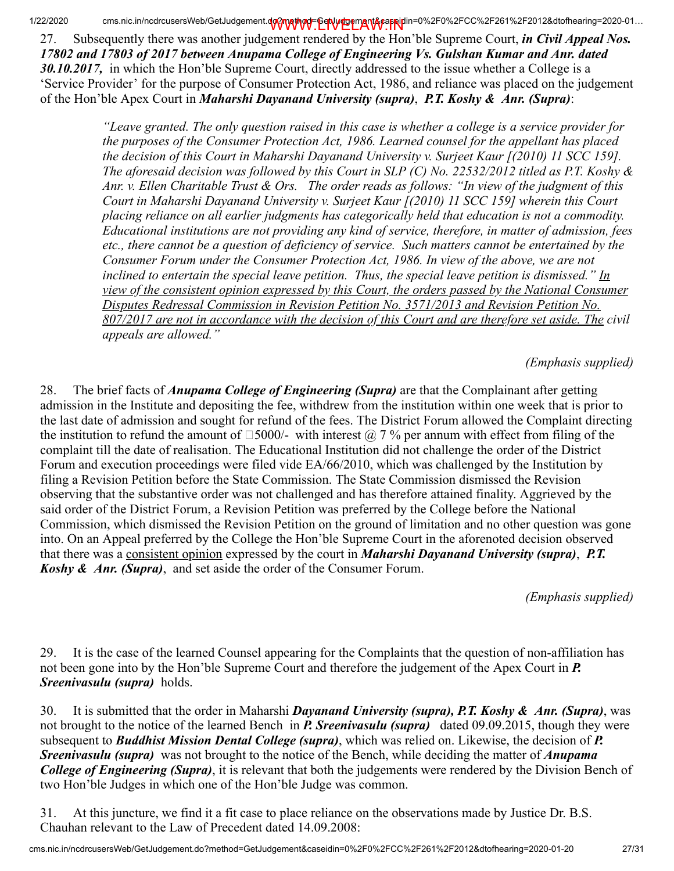27. Subsequently there was another judgement rendered by the Hon'ble Supreme Court, *in Civil Appeal Nos. 17802 and 17803 of 2017 between Anupama College of Engineering Vs. Gulshan Kumar and Anr. dated 30.10.2017,* in which the Hon'ble Supreme Court, directly addressed to the issue whether a College is a 'Service Provider' for the purpose of Consumer Protection Act, 1986, and reliance was placed on the judgement of the Hon'ble Apex Court in *Maharshi Dayanand University (supra)*, *P.T. Koshy & Anr. (Supra)*:

> *"Leave granted. The only question raised in this case is whether a college is a service provider for the purposes of the Consumer Protection Act, 1986. Learned counsel for the appellant has placed the decision of this Court in Maharshi Dayanand University v. Surjeet Kaur [(2010) 11 SCC 159]. The aforesaid decision was followed by this Court in SLP (C) No. 22532/2012 titled as P.T. Koshy & Anr. v. Ellen Charitable Trust & Ors. The order reads as follows: "In view of the judgment of this Court in Maharshi Dayanand University v. Surjeet Kaur [(2010) 11 SCC 159] wherein this Court placing reliance on all earlier judgments has categorically held that education is not a commodity. Educational institutions are not providing any kind of service, therefore, in matter of admission, fees etc., there cannot be a question of deficiency of service. Such matters cannot be entertained by the Consumer Forum under the Consumer Protection Act, 1986. In view of the above, we are not inclined to entertain the special leave petition. Thus, the special leave petition is dismissed." In view of the consistent opinion expressed by this Court, the orders passed by the National Consumer Disputes Redressal Commission in Revision Petition No. 3571/2013 and Revision Petition No. 807/2017 are not in accordance with the decision of this Court and are therefore set aside. The civil appeals are allowed."*

> > *(Emphasis supplied)*

28. The brief facts of *Anupama College of Engineering (Supra)* are that the Complainant after getting admission in the Institute and depositing the fee, withdrew from the institution within one week that is prior to the last date of admission and sought for refund of the fees. The District Forum allowed the Complaint directing the institution to refund the amount of  $\Box$ 5000/- with interest  $\overline{a}$  7 % per annum with effect from filing of the complaint till the date of realisation. The Educational Institution did not challenge the order of the District Forum and execution proceedings were filed vide EA/66/2010, which was challenged by the Institution by filing a Revision Petition before the State Commission. The State Commission dismissed the Revision observing that the substantive order was not challenged and has therefore attained finality. Aggrieved by the said order of the District Forum, a Revision Petition was preferred by the College before the National Commission, which dismissed the Revision Petition on the ground of limitation and no other question was gone into. On an Appeal preferred by the College the Hon'ble Supreme Court in the aforenoted decision observed that there was a consistent opinion expressed by the court in *Maharshi Dayanand University (supra)*, *P.T. Koshy & Anr. (Supra)*, and set aside the order of the Consumer Forum.

*(Emphasis supplied)*

29. It is the case of the learned Counsel appearing for the Complaints that the question of non-affiliation has not been gone into by the Hon'ble Supreme Court and therefore the judgement of the Apex Court in *P. Sreenivasulu (supra)* holds.

30. It is submitted that the order in Maharshi *Dayanand University (supra), P.T. Koshy & Anr. (Supra)*, was not brought to the notice of the learned Bench in *P. Sreenivasulu (supra)* dated 09.09.2015, though they were subsequent to *Buddhist Mission Dental College (supra)*, which was relied on. Likewise, the decision of *P. Sreenivasulu (supra)* was not brought to the notice of the Bench, while deciding the matter of *Anupama College of Engineering (Supra)*, it is relevant that both the judgements were rendered by the Division Bench of two Hon'ble Judges in which one of the Hon'ble Judge was common.

31. At this juncture, we find it a fit case to place reliance on the observations made by Justice Dr. B.S. Chauhan relevant to the Law of Precedent dated 14.09.2008: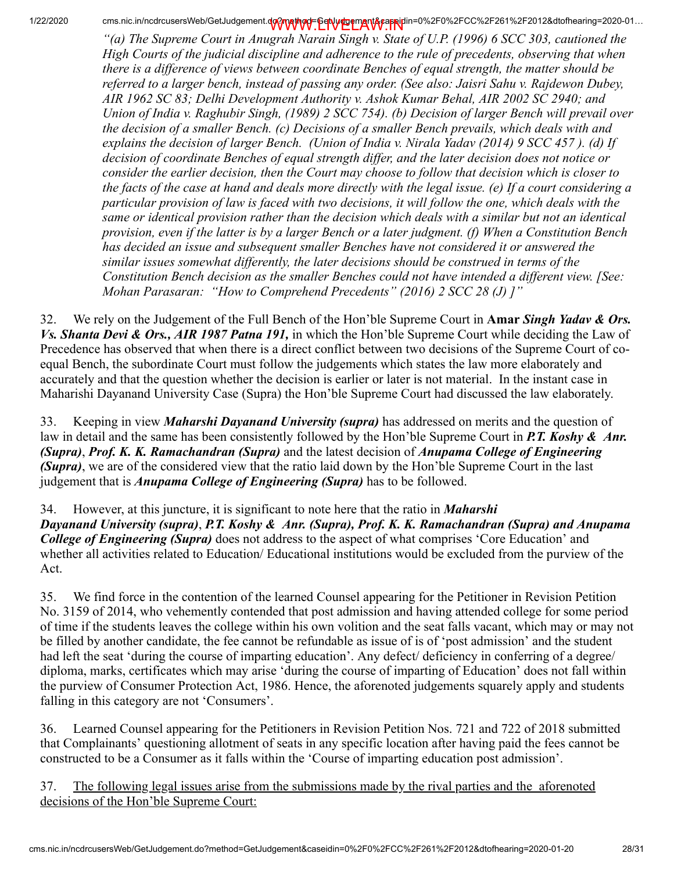*"(a) The Supreme Court in Anugrah Narain Singh v. State of U.P. (1996) 6 SCC 303, cautioned the High Courts of the judicial discipline and adherence to the rule of precedents, observing that when there is a difference of views between coordinate Benches of equal strength, the matter should be referred to a larger bench, instead of passing any order. (See also: Jaisri Sahu v. Rajdewon Dubey, AIR 1962 SC 83; Delhi Development Authority v. Ashok Kumar Behal, AIR 2002 SC 2940; and Union of India v. Raghubir Singh, (1989) 2 SCC 754). (b) Decision of larger Bench will prevail over the decision of a smaller Bench. (c) Decisions of a smaller Bench prevails, which deals with and explains the decision of larger Bench. (Union of India v. Nirala Yadav (2014) 9 SCC 457 ). (d) If decision of coordinate Benches of equal strength differ, and the later decision does not notice or consider the earlier decision, then the Court may choose to follow that decision which is closer to the facts of the case at hand and deals more directly with the legal issue. (e) If a court considering a particular provision of law is faced with two decisions, it will follow the one, which deals with the same or identical provision rather than the decision which deals with a similar but not an identical provision, even if the latter is by a larger Bench or a later judgment. (f) When a Constitution Bench has decided an issue and subsequent smaller Benches have not considered it or answered the similar issues somewhat differently, the later decisions should be construed in terms of the Constitution Bench decision as the smaller Benches could not have intended a different view. [See: Mohan Parasaran: "How to Comprehend Precedents" (2016) 2 SCC 28 (J) ]"*

32. We rely on the Judgement of the Full Bench of the Hon'ble Supreme Court in Amar *Singh Yadav & Ors. Vs. Shanta Devi & Ors., AIR 1987 Patna 191,* in which the Hon'ble Supreme Court while deciding the Law of Precedence has observed that when there is a direct conflict between two decisions of the Supreme Court of coequal Bench, the subordinate Court must follow the judgements which states the law more elaborately and accurately and that the question whether the decision is earlier or later is not material. In the instant case in Maharishi Dayanand University Case (Supra) the Hon'ble Supreme Court had discussed the law elaborately.

33. Keeping in view *Maharshi Dayanand University (supra)* has addressed on merits and the question of law in detail and the same has been consistently followed by the Hon'ble Supreme Court in *P.T. Koshy & Anr. (Supra)*, *Prof. K. K. Ramachandran (Supra)* and the latest decision of *Anupama College of Engineering (Supra)*, we are of the considered view that the ratio laid down by the Hon'ble Supreme Court in the last judgement that is *Anupama College of Engineering (Supra)* has to be followed.

34. However, at this juncture, it is significant to note here that the ratio in *Maharshi Dayanand University (supra)*, *P.T. Koshy & Anr. (Supra), Prof. K. K. Ramachandran (Supra) and Anupama College of Engineering (Supra)* does not address to the aspect of what comprises 'Core Education' and whether all activities related to Education/ Educational institutions would be excluded from the purview of the Act.

35. We find force in the contention of the learned Counsel appearing for the Petitioner in Revision Petition No. 3159 of 2014, who vehemently contended that post admission and having attended college for some period of time if the students leaves the college within his own volition and the seat falls vacant, which may or may not be filled by another candidate, the fee cannot be refundable as issue of is of 'post admission' and the student had left the seat 'during the course of imparting education'. Any defect/ deficiency in conferring of a degree/ diploma, marks, certificates which may arise 'during the course of imparting of Education' does not fall within the purview of Consumer Protection Act, 1986. Hence, the aforenoted judgements squarely apply and students falling in this category are not 'Consumers'.

36. Learned Counsel appearing for the Petitioners in Revision Petition Nos. 721 and 722 of 2018 submitted that Complainants' questioning allotment of seats in any specific location after having paid the fees cannot be constructed to be a Consumer as it falls within the 'Course of imparting education post admission'.

37. The following legal issues arise from the submissions made by the rival parties and the aforenoted decisions of the Hon'ble Supreme Court: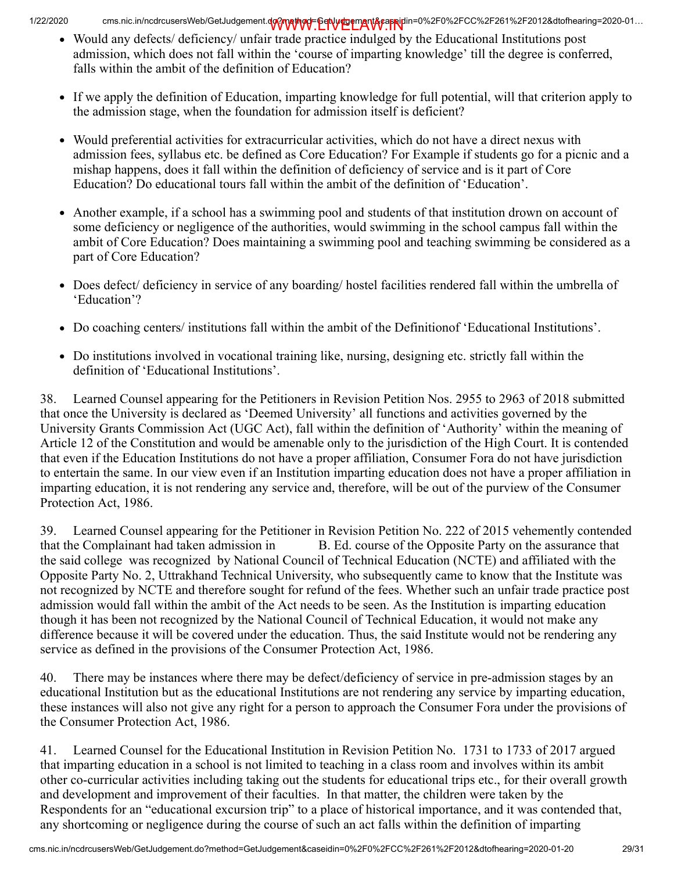- Would any defects/ deficiency/ unfair trade practice indulged by the Educational Institutions post admission, which does not fall within the 'course of imparting knowledge' till the degree is conferred, falls within the ambit of the definition of Education?
- If we apply the definition of Education, imparting knowledge for full potential, will that criterion apply to the admission stage, when the foundation for admission itself is deficient?
- Would preferential activities for extracurricular activities, which do not have a direct nexus with admission fees, syllabus etc. be defined as Core Education? For Example if students go for a picnic and a mishap happens, does it fall within the definition of deficiency of service and is it part of Core Education? Do educational tours fall within the ambit of the definition of 'Education'.
- Another example, if a school has a swimming pool and students of that institution drown on account of some deficiency or negligence of the authorities, would swimming in the school campus fall within the ambit of Core Education? Does maintaining a swimming pool and teaching swimming be considered as a part of Core Education?
- Does defect/ deficiency in service of any boarding/ hostel facilities rendered fall within the umbrella of 'Education'?
- Do coaching centers/ institutions fall within the ambit of the Definitionof 'Educational Institutions'.
- Do institutions involved in vocational training like, nursing, designing etc. strictly fall within the definition of 'Educational Institutions'.

38. Learned Counsel appearing for the Petitioners in Revision Petition Nos. 2955 to 2963 of 2018 submitted that once the University is declared as 'Deemed University' all functions and activities governed by the University Grants Commission Act (UGC Act), fall within the definition of 'Authority' within the meaning of Article 12 of the Constitution and would be amenable only to the jurisdiction of the High Court. It is contended that even if the Education Institutions do not have a proper affiliation, Consumer Fora do not have jurisdiction to entertain the same. In our view even if an Institution imparting education does not have a proper affiliation in imparting education, it is not rendering any service and, therefore, will be out of the purview of the Consumer Protection Act, 1986.

39. Learned Counsel appearing for the Petitioner in Revision Petition No. 222 of 2015 vehemently contended that the Complainant had taken admission in B. Ed. course of the Opposite Party on the assurance that the said college was recognized by National Council of Technical Education (NCTE) and affiliated with the Opposite Party No. 2, Uttrakhand Technical University, who subsequently came to know that the Institute was not recognized by NCTE and therefore sought for refund of the fees. Whether such an unfair trade practice post admission would fall within the ambit of the Act needs to be seen. As the Institution is imparting education though it has been not recognized by the National Council of Technical Education, it would not make any difference because it will be covered under the education. Thus, the said Institute would not be rendering any service as defined in the provisions of the Consumer Protection Act, 1986.

40. There may be instances where there may be defect/deficiency of service in pre-admission stages by an educational Institution but as the educational Institutions are not rendering any service by imparting education, these instances will also not give any right for a person to approach the Consumer Fora under the provisions of the Consumer Protection Act, 1986.

41. Learned Counsel for the Educational Institution in Revision Petition No. 1731 to 1733 of 2017 argued that imparting education in a school is not limited to teaching in a class room and involves within its ambit other co-curricular activities including taking out the students for educational trips etc., for their overall growth and development and improvement of their faculties. In that matter, the children were taken by the Respondents for an "educational excursion trip" to a place of historical importance, and it was contended that, any shortcoming or negligence during the course of such an act falls within the definition of imparting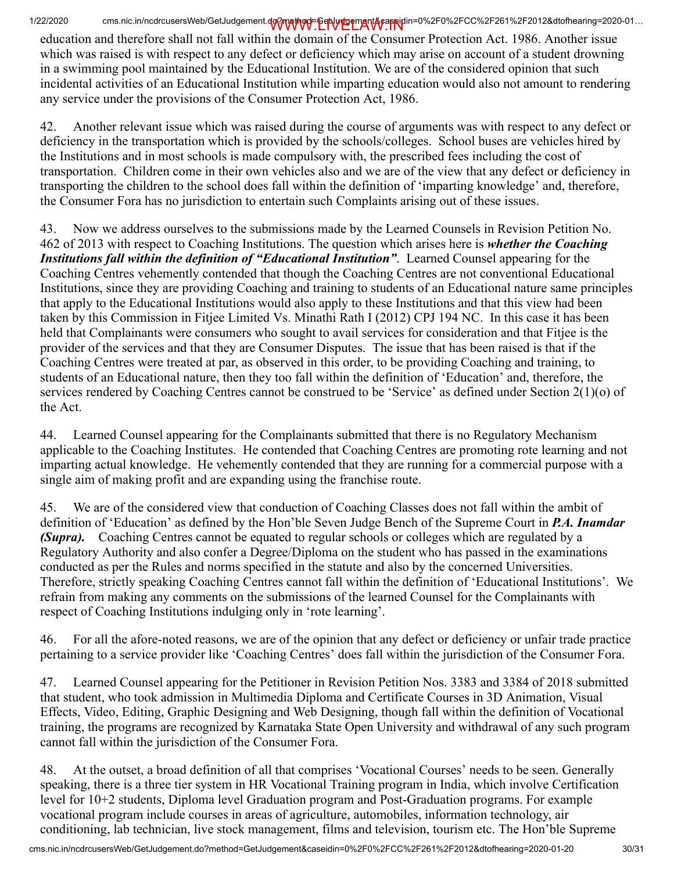education and therefore shall not fall within the domain of the Consumer Protection Act. 1986. Another issue which was raised is with respect to any defect or deficiency which may arise on account of a student drowning in a swimming pool maintained by the Educational Institution. We are of the considered opinion that such incidental activities of an Educational Institution while imparting education would also not amount to rendering any service under the provisions of the Consumer Protection Act, 1986.

42. Another relevant issue which was raised during the course of arguments was with respect to any defect or deficiency in the transportation which is provided by the schools/colleges. School buses are vehicles hired by the Institutions and in most schools is made compulsory with, the prescribed fees including the cost of transportation. Children come in their own vehicles also and we are of the view that any defect or deficiency in transporting the children to the school does fall within the definition of 'imparting knowledge' and, therefore, the Consumer Fora has no jurisdiction to entertain such Complaints arising out of these issues.

43. Now we address ourselves to the submissions made by the Learned Counsels in Revision Petition No. 462 of 2013 with respect to Coaching Institutions. The question which arises here is *whether the Coaching Institutions fall within the definition of "Educational Institution"*. Learned Counsel appearing for the Coaching Centres vehemently contended that though the Coaching Centres are not conventional Educational Institutions, since they are providing Coaching and training to students of an Educational nature same principles that apply to the Educational Institutions would also apply to these Institutions and that this view had been taken by this Commission in Fitjee Limited Vs. Minathi Rath I (2012) CPJ 194 NC. In this case it has been held that Complainants were consumers who sought to avail services for consideration and that Fitjee is the provider of the services and that they are Consumer Disputes. The issue that has been raised is that if the Coaching Centres were treated at par, as observed in this order, to be providing Coaching and training, to students of an Educational nature, then they too fall within the definition of 'Education' and, therefore, the services rendered by Coaching Centres cannot be construed to be 'Service' as defined under Section 2(1)(o) of the Act.

44. Learned Counsel appearing for the Complainants submitted that there is no Regulatory Mechanism applicable to the Coaching Institutes. He contended that Coaching Centres are promoting rote learning and not imparting actual knowledge. He vehemently contended that they are running for a commercial purpose with a single aim of making profit and are expanding using the franchise route.

45. We are of the considered view that conduction of Coaching Classes does not fall within the ambit of definition of 'Education' as defined by the Hon'ble Seven Judge Bench of the Supreme Court in *P.A. Inamdar (Supra).* Coaching Centres cannot be equated to regular schools or colleges which are regulated by a Regulatory Authority and also confer a Degree/Diploma on the student who has passed in the examinations conducted as per the Rules and norms specified in the statute and also by the concerned Universities. Therefore, strictly speaking Coaching Centres cannot fall within the definition of 'Educational Institutions'. We refrain from making any comments on the submissions of the learned Counsel for the Complainants with respect of Coaching Institutions indulging only in 'rote learning'.

46. For all the afore-noted reasons, we are of the opinion that any defect or deficiency or unfair trade practice pertaining to a service provider like 'Coaching Centres' does fall within the jurisdiction of the Consumer Fora.

47. Learned Counsel appearing for the Petitioner in Revision Petition Nos. 3383 and 3384 of 2018 submitted that student, who took admission in Multimedia Diploma and Certificate Courses in 3D Animation, Visual Effects, Video, Editing, Graphic Designing and Web Designing, though fall within the definition of Vocational training, the programs are recognized by Karnataka State Open University and withdrawal of any such program cannot fall within the jurisdiction of the Consumer Fora.

48. At the outset, a broad definition of all that comprises 'Vocational Courses' needs to be seen. Generally speaking, there is a three tier system in HR Vocational Training program in India, which involve Certification level for 10+2 students, Diploma level Graduation program and Post-Graduation programs. For example vocational program include courses in areas of agriculture, automobiles, information technology, air conditioning, lab technician, live stock management, films and television, tourism etc. The Hon'ble Supreme